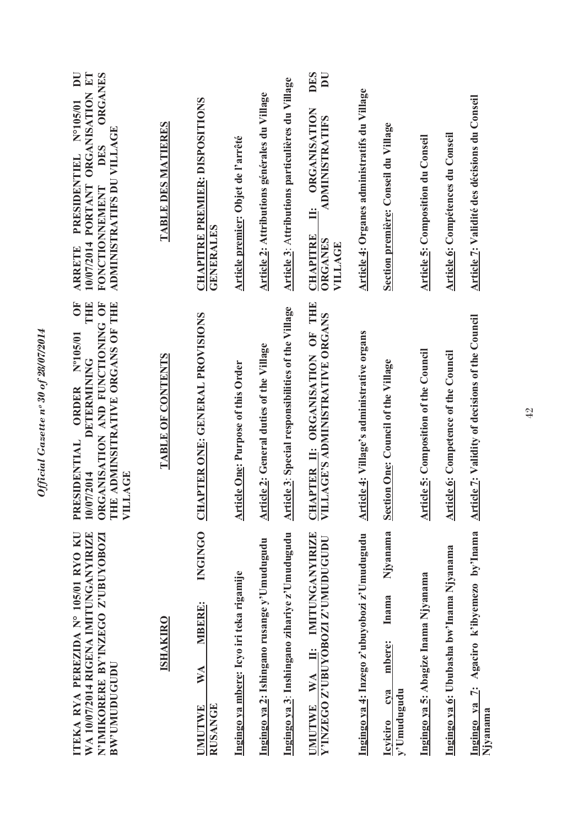| ORGANISATION ET<br>DU<br><b>ORGANES</b><br>N°105/01<br>ADMINISTRATIFS DU VILLAGE<br>DES<br>PRESIDENTIEL<br>10/07/2014 PORTANT<br>FONCTIONNEMENT<br><b>ARRETE</b>                | <b>TABLE DES MATIERES</b> | <b>CHAPITRE PREMIER: DISPOSITIONS</b><br>GENERALES                       | Article premier: Objet de l'arrêté        | Article 2: Attributions générales du Village | Article 3: Attributions particulières du Village   | <b>DES</b><br>$\overline{\mathbf{D}}$<br><b>ORGANISATION</b><br>ADMINISTRATIFS<br>Ë<br><b>CHAPITRE</b><br>ORGANES<br>VILLAGE | Article 4: Organes administratifs du Village | Section première: Conseil du Village                                 | <b>Article 5: Composition du Conseil</b>     | Article 6: Compétences du Conseil           | Article 7: Validité des décisions du Conseil           |
|---------------------------------------------------------------------------------------------------------------------------------------------------------------------------------|---------------------------|--------------------------------------------------------------------------|-------------------------------------------|----------------------------------------------|----------------------------------------------------|------------------------------------------------------------------------------------------------------------------------------|----------------------------------------------|----------------------------------------------------------------------|----------------------------------------------|---------------------------------------------|--------------------------------------------------------|
| JE<br>THE<br>ORGANISATION AND FUNCTIONING OF<br>THE ADMINSITRATIVE ORGANS OF THE<br>Nº105/01<br><b>DETERMINING</b><br><b>ORDER</b><br>RESIDENTIAL<br>10/07/2014<br>VILLAGE<br>급 | <b>TABLE OF CONTENTS</b>  | CHAPTER ONE: GENERAL PROVISIONS                                          | <b>Article One: Purpose of this Order</b> | Article 2: General duties of the Village     | Article 3: Special responsibilities of the Village | <u>CHAPTER II</u> : ORGANISATION OF THE<br>VILLAGE'S ADMINISTRATIVE ORGANS<br>ILLAGE'S ADMINISTRATIVE ORGANS                 | Article 4: Village's administrative organs   | Section One: Council of the Village                                  | <b>Article 5: Composition of the Council</b> | <b>Article 6: Competence of the Council</b> | <b>Article 7: Validity of decisions of the Council</b> |
| WA 10/07/2014 RIGENA IMITUNGANYIRIZE<br>N'IMIKORERE BY'INZEGO Z'UBUYOBOZI<br>ITEKA RYA PEREZIDA Nº 105/01 RYO KU<br><b>BW:UMUDUGUDU</b>                                         | <b>ISHAKIRO</b>           | <b>INGINGO</b><br><b>MBERE:</b><br>WA<br><b>RUSANGE</b><br><b>UMUTWE</b> | Ingingo ya mbere: Icyo iri teka rigamije  | Ingingo ya 2: Ishingano rusange y'Umudugudu  | Ingingo ya 3: Inshingano zihariye z'Umudugudu      | IMITUNGANYIRIZE<br>Y'INZEGO Z'UBUYOBOZI Z'UMUDUGUDU<br>$\ddot{=}$<br>WA<br><b>UMUTWE</b>                                     | Ingingo ya 4: Inzego z'ubuyobozi z'Umudugudu | Njyanama<br>Inama<br>mbere:<br>cya<br>y'Umudugudu<br><b>Icyiciro</b> | Ingingo ya 5: Abagize Inama Njyanama         | Ingingo ya 6: Ububasha bw'Inama Njyanama    | Ingingo ya 7: Agaciro k'ibyemezo by'Inama<br>Njyanama  |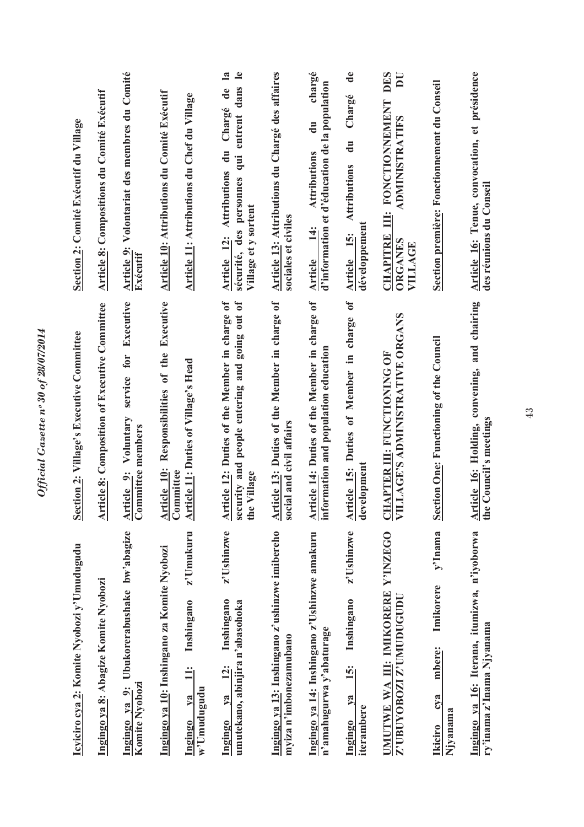| Ubukorerabushake bw'abagize<br>Icyiciro cya 2: Komite Nyobozi y'Umudugudu<br>Ingingo ya 8: Abagize Komite Nyobozi<br>Komite Nyobozi<br>Ingingo ya 9: | Executive<br><b>Article 8: Composition of Executive Committee</b><br>Section 2: Village's Executive Committee<br>for<br>service<br>Voluntary<br>Committee members<br>Article 9: | Volontariat des membres du Comité<br><b>Article 8: Compositions du Comité Exécutif</b><br>Section 2: Comité Exécutif du Village<br>Article 9:<br>Exécutif     |
|------------------------------------------------------------------------------------------------------------------------------------------------------|---------------------------------------------------------------------------------------------------------------------------------------------------------------------------------|---------------------------------------------------------------------------------------------------------------------------------------------------------------|
| z'Umukuru<br>Ingingo ya 10: Inshingano za Komite Nyobozi<br>Inshingano                                                                               | Responsibilities of the Executive<br>Article 11: Duties of Village's Head<br><b>Article 10:</b><br>Committee                                                                    | <b>Article 10: Attributions du Comité Exécutif</b><br>Article 11: Attributions du Chef du Village                                                             |
| z'Ushinzwe<br>Inshingano<br>umutekano, abinjira n'abasohoka                                                                                          | Article 12: Duties of the Member in charge of<br>security and people entering and going out of<br>Village<br>the                                                                | $\mathbf{a}$<br>$\mathbf{e}$<br>entrent dans<br>Chargé de<br>$\ddot{a}$<br>inb<br>Article 12: Attributions<br>sécurité, des personnes<br>Village et y sortent |
| Ingingo ya 13: Inshingano z'ushinzwe imibereho<br>myiza n'imbonezamubano                                                                             | Article 13: Duties of the Member in charge of<br>social and civil affairs                                                                                                       | Article 13: Attributions du Chargé des affaires<br>sociales et civiles                                                                                        |
| Ingingo ya 14: Inshingano z'Ushinzwe amakuru<br>n'amahugurwa y'abaturage                                                                             | Article 14: Duties of the Member in charge of<br>information and population education                                                                                           | chargé<br>d'éducation de la population<br>$\frac{1}{\sigma}$<br>Attributions<br>d'information et<br>$\frac{14}{1}$<br><b>Article</b>                          |
| z'Ushinzwe<br>Inshingano                                                                                                                             | ð<br>Article 15: Duties of Member in charge<br>development                                                                                                                      | $\mathbf{d}\mathbf{e}$<br>Chargé<br>$\frac{1}{\sqrt{2}}$<br><b>Attributions</b><br>développement<br>Article 15:                                               |
| Y'INZEGO<br>UMUTWE WA III: IMIKORERE<br><b>Z'UBUYOBOZI Z'UMUDUGUDU</b>                                                                               | <u>CHAPTER III</u> : FUNCTIONING OF<br>VILLAGE'S ADMINISTRATIVE ORGANS                                                                                                          | <b>DES</b><br>$\overline{\mathbf{D}}$<br>FONCTIONNEMENT<br><b>ADMINISTRATIFS</b><br>Ë<br><b>CHAPITRE</b><br><b>ORGANES</b><br>VILLAGE                         |
| y'Inama<br>Imikorere<br>mbere:                                                                                                                       | <b>Section One: Functioning of the Council</b>                                                                                                                                  | Section première: Fonctionnement du Conseil                                                                                                                   |
| Ingingo ya 16: Iterana, itumizwa, n'iyoborwa<br>ry'inama z'Inama Njyanama                                                                            | Article 16: Holding, convening, and chairing<br>the Council's meetings                                                                                                          | Article 16: Tenue, convocation, et présidence<br>des réunions du Conseil                                                                                      |

Official Gazette nº 30 of 28/07/2014 *Official Gazette nᵒ 30 of 28/07/2014*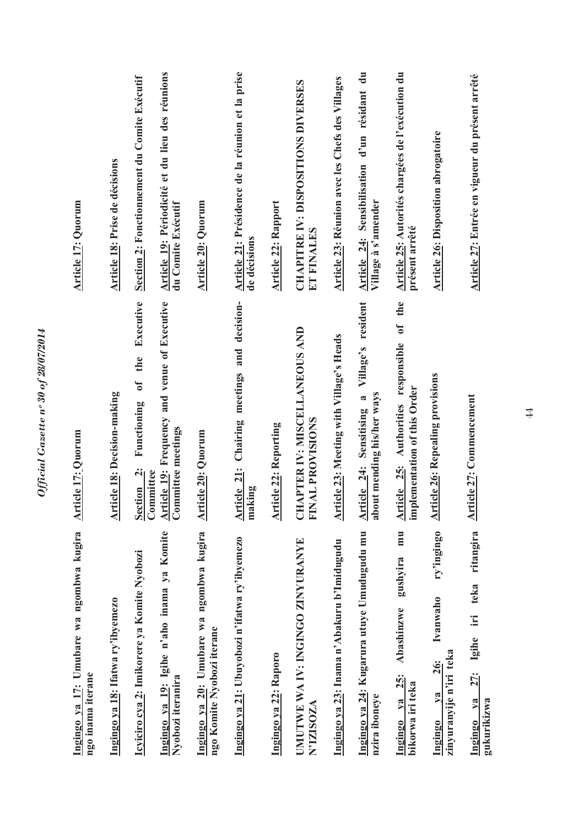| <b>Article 17: Quorum</b>                                     | Article 18: Prise de décisions     | Article 19: Périodicité et du lieu des réunions<br>Section 2: Fonctionnement du Comite Exécutif | <b>Article 20: Quorum</b><br>du Comite Exécutif                                                        | Article 21: Présidence de la réunion et la prise                            | de décisions | <b>Article 22: Rapport</b>   | <b>CHAPITRE IV: DISPOSITIONS DIVERSES</b><br>ET FINALES             | Article 23: Réunion avec les Chefs des Villages | Article 24: Sensibilisation d'un résidant du<br>Village à s'amender           | Article 25: Autorités chargées de l'exécution du<br>présent arrêté            | <b>Article 26: Disposition abrogatoire</b>                                        | Article 27: Entrée en vigueur du présent arrêté                              |
|---------------------------------------------------------------|------------------------------------|-------------------------------------------------------------------------------------------------|--------------------------------------------------------------------------------------------------------|-----------------------------------------------------------------------------|--------------|------------------------------|---------------------------------------------------------------------|-------------------------------------------------|-------------------------------------------------------------------------------|-------------------------------------------------------------------------------|-----------------------------------------------------------------------------------|------------------------------------------------------------------------------|
| <b>Article 17: Quorum</b>                                     | <b>Article 18: Decision-making</b> | Executive<br>the<br>$\mathfrak{b}$<br>Functioning<br>Section 2:<br>Committee                    | <b>Article 19:</b> Frequency and venue of Executive<br>Committee meetings<br><b>Article 20: Quorum</b> | Article 21: Chairing meetings and decision-                                 | making       | <b>Article 22: Reporting</b> | HAPTER IV: MISCELLANEOUS AND<br>NAL PROVISIONS<br>U<br>$\mathbf{E}$ | Article 23: Meeting with Village's Heads        | Village's resident<br>Article 24: Sensitising a<br>about mending his/her ways | of the<br>Article 25: Authorities responsible<br>implementation of this Order | <b>Article 26: Repealing provisions</b>                                           | <b>Article 27: Commencement</b>                                              |
| Ingingo ya 17: Umubare wa ngombwa kugira<br>ngo inama iterane | Ingingo ya 18: Ifatwa ry'ibyemezo  | Ingingo ya 19: Igihe n'aho inama ya Komite<br>Icyiciro cya 2: Imikorere ya Komite Nyobozi       | Ingingo ya 20: Umubare wa ngombwa kugira<br>Nyobozi iteranira                                          | Ingingo ya 21: Ubuyobozi n'ifatwa ry'ibyemezo<br>ngo Komite Nyobozi iterane |              | Ingingo ya 22: Raporo        | UMUTWE WA IV: INGINGO ZINYURANYE<br><b>N'IZISOZA</b>                | Ingingo ya 23: Inama n'Abakuru b'Imidugudu      | Ingingo ya 24: Kugarura utuye Umudugudu mu<br>nzira iboneye                   | mu<br>gushyira<br>Abashinzwe<br><u>25:</u><br>bikorwa iri teka<br>Ingingo ya  | ry'ingingo<br>Ivanwaho<br>zinyuranyije n'iri teka<br><b>26:</b><br>$1$<br>Ingingo | ritangira<br>teka<br>$\Xi$<br>Igihe<br>27:<br>$ya$<br>gukurikizwa<br>Ingingo |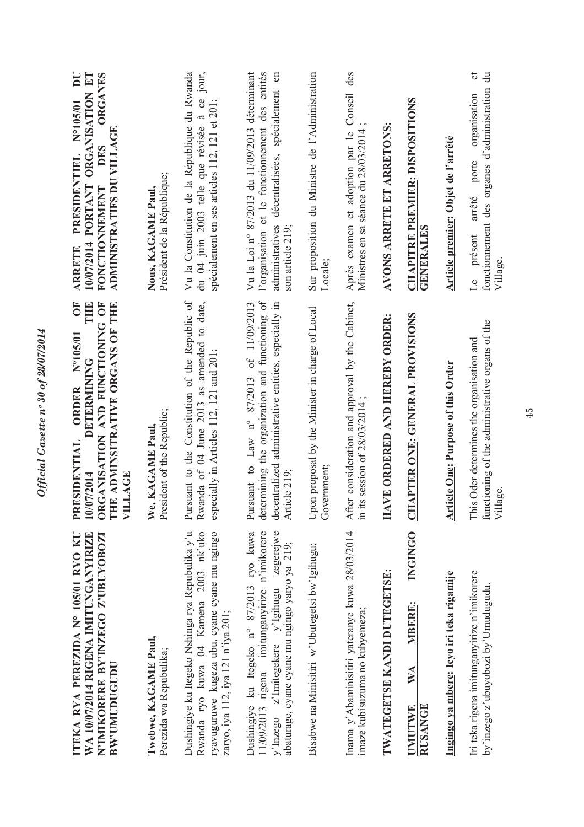| ITEKA RYA PEREZIDA Nº 105/01 RYO KU<br>WA 10/07/2014 RIGENA IMITUNGANYIRIZE<br>N'IMIKORERE BY'INZEGO Z'UBUYOBOZI<br><b>BW'UMUDUGUDU</b>                                                                | Ŏ<br>ORGANISATION AND FUNCTIONING OF<br>THE ADMINSITRATIVE ORGANS OF THE<br>THE<br>N°105/01<br><b>DETERMINING</b><br>ORDER<br>ESIDENTIAL<br>10/07/2014<br><b>LLAGE</b><br>PR<br>買 | DU<br><b>ORGANISATION ET</b><br>ORGANES<br>$N^{\circ}105/01$<br>ADMINISTRATIFS DU VILLAGE<br>DES<br>PRESIDENTIEL<br>10/07/2014 PORTANT<br><b>FONCTIONNEMENT</b><br><b>ARRETE</b> |
|--------------------------------------------------------------------------------------------------------------------------------------------------------------------------------------------------------|-----------------------------------------------------------------------------------------------------------------------------------------------------------------------------------|----------------------------------------------------------------------------------------------------------------------------------------------------------------------------------|
| Twebwe, KAGAME Paul,<br>Perezida wa Repubulika;                                                                                                                                                        | President of the Republic;<br>We, KAGAME Paul,                                                                                                                                    | Président de la République;<br>Nous, KAGAME Paul,                                                                                                                                |
| Dushingiye ku Itegeko Nshinga rya Repubulika y'u<br>Rwanda ryo kuwa 04 Kamena 2003 nk'uko<br>ryavuguruwe kugeza ubu, cyane cyane mu ngingo<br>zaryo, iya 112, iya 121 n'iya 201;                       | Pursuant to the Constitution of the Republic of<br>Rwanda of 04 June 2013 as amended to date,<br>especially in Articles 112, 121 and 201;                                         | Vu la Constitution de la République du Rwanda<br>du 04 juin 2003 telle que révisée à ce jour,<br>spécialement en ses articles 112, 121 et 201;                                   |
| Dushingiye ku Itegeko n° 87/2013 ryo kuwa<br>11/09/2013 rigena imitunganyirize n'imikorere<br>zegerejwe<br>abaturage, cyane cyane mu ngingo yaryo ya 219;<br>$z'$ Imitegekere $y'$ Igihugu<br>y'Inzego | determining the organization and functioning of<br>Pursuant to Law $n^{\circ}$ 87/2013 of 11/09/2013<br>decentralized administrative entities, especially in<br>Article 219;      | Vu la Loi nº 87/2013 du 11/09/2013 déterminant<br>l'organisation et le fonctionnement des entités<br>décentralisées, spécialement en<br>administratives<br>son article 219;      |
| Bisabwe na Minisitiri w'Ubutegetsi bw'lgihugu;                                                                                                                                                         | Upon proposal by the Minister in charge of Local<br>Government;                                                                                                                   | Sur proposition du Ministre de l'Administration<br>Locale;                                                                                                                       |
| Inama y'Abaminisitiri yateranye kuwa 28/03/2014<br>imaze kubisuzuma no kubyemeza;                                                                                                                      | After consideration and approval by the Cabinet,<br>in its session of $28/03/2014$                                                                                                | Conseil des<br>Après examen et adoption par le<br>Ministres en sa séance du 28/03/2014                                                                                           |
| <b>TWATEGETSE KANDI DUTEGETSE:</b>                                                                                                                                                                     | VE ORDERED AND HEREBY ORDER:<br>$H\Lambda$                                                                                                                                        | AVONS ARRETE ET ARRETONS:                                                                                                                                                        |
| <b>INGINGO</b><br>MBERE:<br><b>NA</b><br><b>RUSANGE</b><br><b>UMUTWE</b>                                                                                                                               | APTER ONE: GENERAL PROVISIONS<br>E                                                                                                                                                | <b>CHAPITRE PREMIER: DISPOSITIONS</b><br>GENERALES                                                                                                                               |
| Ingingo ya mbere: Icyo iri teka rigamije                                                                                                                                                               | <b>Article One: Purpose of this Order</b>                                                                                                                                         | Article premier: Objet de l'arrêté                                                                                                                                               |
| Iri teka rigena imitunganyirize n'imikorere<br>by'inzego z'ubuyobozi by'Umudugudu.                                                                                                                     | functioning of the administrative organs of the<br>This Oder determines the organisation and<br>Village.                                                                          | J<br>$\ddot{\vec{a}}$<br>fonctionnement des organes d'administration<br>organisation<br>porte<br>arrêté<br>présent<br>Village.<br>$\mathfrak{a}$                                 |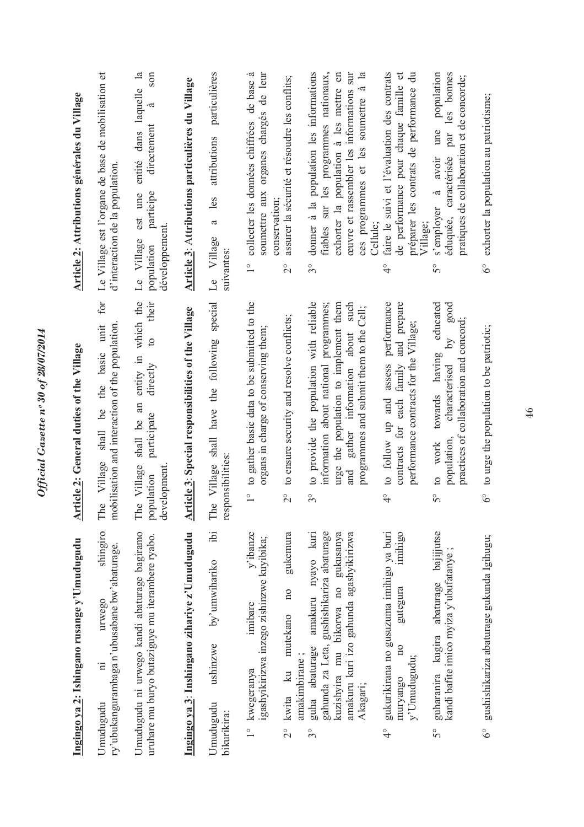|                  | Ingingo ya 2: Ishingano rusange y'Umudugudu                                                                                                                                    | rticle 2: General duties of the Village<br>ୡ                                                                                                                                                                                    | Article 2: Attributions générales du Village                                                                                                                                                                                                       |
|------------------|--------------------------------------------------------------------------------------------------------------------------------------------------------------------------------|---------------------------------------------------------------------------------------------------------------------------------------------------------------------------------------------------------------------------------|----------------------------------------------------------------------------------------------------------------------------------------------------------------------------------------------------------------------------------------------------|
|                  | shingiro<br>ry'ubukangurambaga n'ubusabane bw'abaturage.<br>urwego<br>$\overline{\mathbf{u}}$<br>Umudugudu                                                                     | for<br>mobilisation and interaction of the population.<br>unit<br>shall be the basic<br>Village<br>The                                                                                                                          | Le Village est l'organe de base de mobilisation et<br>d'interaction de la population                                                                                                                                                               |
|                  | Umudugudu ni urwego kandi abaturage bagiramo<br>uruhare mu buryo butaziguye mu iterambere ryabo.                                                                               | entity in which the<br>their<br>$\overline{c}$<br>directly<br>shall be an<br>participate<br>The Village<br>development<br>population                                                                                            | entité dans laquelle la<br>son<br>à<br>directement<br>participe<br>est une<br>développement.<br>Le Village<br>population                                                                                                                           |
|                  | Ingingo ya 3: Inshingano zihariye z'Umudugudu                                                                                                                                  | Article 3: Special responsibilities of the Village                                                                                                                                                                              | Article 3: Attributions particulières du Village                                                                                                                                                                                                   |
| bikurikira:      | $\ddot{b}$<br>by'umwihariko<br>ushinzwe<br>Umudugudu                                                                                                                           | The Village shall have the following special<br>responsibilities:                                                                                                                                                               | particulières<br>attributions<br>les<br>a<br>Village<br>suivantes:<br>Le                                                                                                                                                                           |
|                  | v'ibanze<br>igashyikirizwa inzego zishinzwe kuyibika;<br>imibare<br>1° kwegeranya                                                                                              | to gather basic data to be submitted to the<br>organs in charge of conserving them;<br>$\frac{1}{\sqrt{2}}$                                                                                                                     | á<br>organes chargés de leur<br>collecter les données chiffrées de base<br>soumettre aux<br>conservation;<br>$\frac{1}{1}$                                                                                                                         |
| $\frac{1}{2}$    | gukemura<br>100<br>mutekano<br>amakimbirane;<br>$k$ u<br>kwita                                                                                                                 | to ensure security and resolve conflicts;<br>$\overline{\Omega}$                                                                                                                                                                | assurer la sécurité et résoudre les conflits;<br>$\overset{\circ}{\sim}$                                                                                                                                                                           |
| $\frac{1}{3}$    | gahunda za Leta, gushishikariza abaturage<br>amakuru nyayo kuri<br>kuzishyira mu bikorwa no gukusanya<br>amakuru kuri izo gahunda agashyikirizwa<br>guha abaturage<br>Akagari; | to provide the population with reliable<br>information about national programmes;<br>urge the population to implement them<br>such<br>programmes and submit them to the Cell;<br>gather information about<br>and<br>$3^{\circ}$ | donner à la population les informations<br>ces programmes et les soumettre à la<br>ceuvre et rassembler les informations sur<br>fiables sur les programmes nationaux,<br>exhorter la population à les mettre en<br>Cellule;<br>$\int_{0}^{\infty}$ |
| $\frac{1}{4}$    | gukurikirana no gusuzuma imihigo ya buri<br>imihigo<br>gutegura<br>$\overline{\mathbf{a}}$<br>y'Umudugudu;<br>muryango                                                         | to follow up and assess performance<br>contracts for each family and prepare<br>performance contracts for the Village;<br>$\frac{6}{4}$                                                                                         | faire le suivi et l'évaluation des contrats<br>$\sigma$<br>préparer les contrats de performance du<br>de performance pour chaque famille<br>Village;<br>$\frac{1}{4}$                                                                              |
| 50               | abaturage bajijjutse<br>kandi bafite imico myiza y'ubufatanye<br>guharanira kugira                                                                                             | educated<br>good<br>collaboration and concord;<br>$\sim$<br>towards having<br>characterised<br>practices of<br>population<br>work<br>$\overline{c}$<br>$5^{\circ}$                                                              | population<br>par les bonnes<br>pratiques de collaboration et de concorde;<br>une<br>caractérisée<br>avoir<br>à<br>s'employer<br>éduquée,<br>$\mathcal{S}^{\circ}$                                                                                 |
| $\delta^{\circ}$ | gushishikariza abaturage gukunda Igihugu;                                                                                                                                      | to urge the population to be patriotic;<br>$\delta^{\circ}$                                                                                                                                                                     | exhorter la population au patriotisme;<br>$6^\circ$                                                                                                                                                                                                |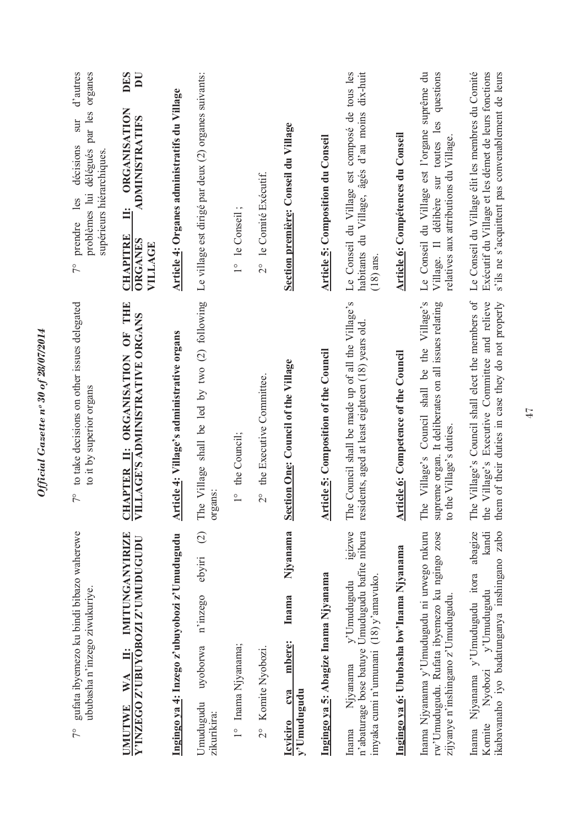| d'autres<br>organes<br>problèmes lui délégués par les<br>$\sup$<br>décisions<br>supérieurs hiérarchiques<br>prendre les<br>$7^{\circ}$<br>to take decisions on other issues delegated | DES<br>$\overline{\mathbf{D}}$<br><b>ORGANISATION</b><br><b>ADMINISTRATIFS</b><br>$\ddot{=}$<br><b>CHAPITRE</b><br><b>ORGANES</b><br>VILLAGE | Article 4: Organes administratifs du Village | Le village est dirigé par deux (2) organes suivants:                        | 1° le Conseil;     | 2° le Comité Exécutif.                    | Section première: Conseil du Village                                 | <b>Article 5: Composition du Conseil</b>     | Le Conseil du Village est composé de tous les<br>habitants du Village, âgés d'au moins dix-huit<br>$(18)$ ans                          | Article 6: Compétences du Conseil           | Le Conseil du Village est l'organe suprême du<br>questions<br>Village. Il délibère sur toutes les<br>relatives aux attributions du Village.<br>Village's Council shall be the Village's | Le Conseil du Village élit les membres du Comité<br>Exécutif du Village et les démet de leurs fonctions<br>s'ils ne s'acquittent pas convenablement de leurs<br>them of their duties in case they do not properly |
|---------------------------------------------------------------------------------------------------------------------------------------------------------------------------------------|----------------------------------------------------------------------------------------------------------------------------------------------|----------------------------------------------|-----------------------------------------------------------------------------|--------------------|-------------------------------------------|----------------------------------------------------------------------|----------------------------------------------|----------------------------------------------------------------------------------------------------------------------------------------|---------------------------------------------|-----------------------------------------------------------------------------------------------------------------------------------------------------------------------------------------|-------------------------------------------------------------------------------------------------------------------------------------------------------------------------------------------------------------------|
| to it by superior organs<br>$7^{\circ}$                                                                                                                                               | APTER II: ORGANISATION OF THE<br>LAGE'S ADMINISTRATIVE ORGANS<br><b>ED</b><br>ĮЦ                                                             | Article 4: Village's administrative organs   | Village shall be led by two (2) following<br>organs:<br>The                 | 1° the Council;    | the Executive Committee.<br>$\frac{1}{2}$ | Section One: Council of the Village                                  | <b>Article 5: Composition of the Council</b> | The Council shall be made up of all the Village's<br>residents, aged at least eighteen (18) years old                                  | <b>Article 6: Competence of the Council</b> | supreme organ. It deliberates on all issues relating<br>to the Village's duties.<br>The                                                                                                 | Village's Council shall elect the members of<br>Village's Executive Committee and relieve<br>the<br>The                                                                                                           |
| gufata ibyemezo ku bindi bibazo waherewe<br>ububasha n'inzego ziwukuriye<br>$7^{\circ}$                                                                                               | IMITUNGANYIRIZE<br>Y'INZEGO Z'UBUYOBOZI Z'UMUDUGUDU<br>WA II:<br><b>UMUTWE</b>                                                               | Ingingo ya 4: Inzego z'ubuyobozi z'Umudugudu | $\widehat{c}$<br>ebyiri<br>n'inzego<br>uyoborwa<br>Umudugudu<br>zikurikira: | 1° Inama Njyanama; | 2° Komite Nyobozi.                        | Njyanama<br>Inama<br>mbere:<br>cva<br>y'Umudugudu<br><b>Icviciro</b> | Ingingo ya 5: Abagize Inama Njyanama         | igizwe<br>n'abaturage bose batuye Umudugudu bafite nibura<br>imyaka cumi n'umunani (18) y'amavuko.<br>y'Umudugudu<br>Njyanama<br>Inama | Ingingo ya 6: Ububasha bw'Inama Njyanama    | Inama Njyanama y'Umudugudu ni urwego rukuru<br>rw'Umudugudu. Rufata ibyemezo ku ngingo zose<br>zijyanye n'inshingano z'Umudugudu.                                                       | abagize<br>kandi<br>ikabavanaho iyo badatunganya inshingano zabo<br>Inama Njyanama y'Umudugudu itora<br>y'Umudugudu<br>Nyobozi<br>Komite                                                                          |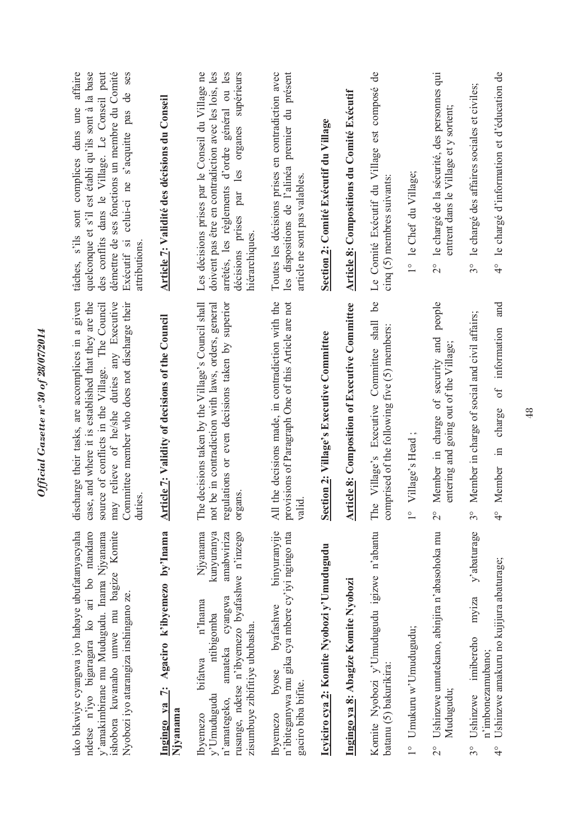| démettre de ses fonctions un membre du Comité<br>tâches, s'ils sont complices dans une affaire<br>quelconque et s'il est établi qu'ils sont à la base<br>des conflits dans le Village. Le Conseil peut<br>Exécutif si celui-ci ne s'acquitte pas de ses<br>attributions | Article 7: Validité des décisions du Conseil          | Les décisions prises par le Conseil du Village ne<br>doivent pas être en contradiction avec les lois, les<br>arrêtés, les règlements d'ordre général ou les<br>par les organes supérieurs<br>décisions prises<br>hiérarchiques   | Toutes les décisions prises en contradiction avec<br>les dispositions de l'alinéa premier du présent<br>article ne sont pas valables | Section 2: Comité Exécutif du Village      | <b>Article 8: Compositions du Comité Exécutif</b>    | Le Comité Exécutif du Village est composé de<br>cinq (5) membres suivants<br>be            | 1° le Chef du Village;                  | 2° le chargé de la sécurité, des personnes qui<br>entrent dans le Village et y sortent;<br>people        | 3° le chargé des affaires sociales et civiles;                           | 4° le chargé d'information et d'éducation de<br>and            |
|-------------------------------------------------------------------------------------------------------------------------------------------------------------------------------------------------------------------------------------------------------------------------|-------------------------------------------------------|----------------------------------------------------------------------------------------------------------------------------------------------------------------------------------------------------------------------------------|--------------------------------------------------------------------------------------------------------------------------------------|--------------------------------------------|------------------------------------------------------|--------------------------------------------------------------------------------------------|-----------------------------------------|----------------------------------------------------------------------------------------------------------|--------------------------------------------------------------------------|----------------------------------------------------------------|
| discharge their tasks, are accomplices in a given<br>case, and where it is established that they are the<br>may relieve of he/she duties any Executive<br>source of conflicts in the Village. The Council<br>Committee member who does not discharge their<br>duties    | rticle 7: Validity of decisions of the Council<br>ᆌ   | The decisions taken by the Village's Council shall<br>not be in contradiction with laws, orders, general<br>regulations or even decisions taken by superior<br>organs.                                                           | All the decisions made, in contradiction with the<br>provisions of Paragraph One of this Article are not<br>valid.                   | Section 2: Village's Executive Committee   | <b>Article 8: Composition of Executive Committee</b> | Committee shall<br>comprised of the following five (5) members:<br>The Village's Executive | Village's Head;<br>$\frac{1}{\sqrt{2}}$ | charge of security and<br>entering and going out of the Village;<br>Member in<br>$\overset{\circ}{\sim}$ | Member in charge of social and civil affairs;<br>$\frac{1}{3}$           | of information<br>charge<br>$\Xi$ .<br>Member<br>$\frac{1}{4}$ |
| uko bikwiye cyangwa iyo habaye ubufatanyacyaha<br>ndetse n'iyo bigaragara ko ari bo ntandaro<br>y'amakimbirane mu Mudugudu. Inama Njyanama<br>ishobora kuvanaho umwe mu bagize Komite<br>Nyobozi iyo atarangiza inshingano ze.                                          | Ingingo ya 7: Agaciro k'ibyemezo by'Inama<br>Njyanama | Njyanama<br>kunyuranya<br>amabwiriza<br>rusange, ndetse n'ibyemezo byafashwe n'inzego<br>amateka cyangwa<br>n'Inama<br>ntibigomba<br>zisumbuye zibifitiye ububasha.<br>bifatwa<br>v'Umudugudu<br>n'amategeko,<br><b>lbyemezo</b> | binyuranyije<br>n'ibiteganywa mu gika cya mbere cy'iyi ngingo nta<br>byafashwe<br>byose<br>gaciro biba bifite.<br>lbyemezo           | Icyiciro cya 2: Komite Nyobozi y'Umudugudu | Ingingo ya 8: Abagize Komite Nyobozi                 | Komite Nyobozi y'Umudugudu igizwe n'abantu<br>batanu (5) bakurikira:                       | 1° Umukuru w'Umudugudu;                 | Ushinzwe umutekano, abinjira n'abasohoka mu<br>Mudugudu;<br>$\frac{1}{2}$                                | y'abaturage<br>myiza<br>imibereho<br>n'imbonezamubano;<br>Ushinzwe<br>30 | Ushinzwe amakuru no kujijura abaturage;<br>$\frac{1}{4}$       |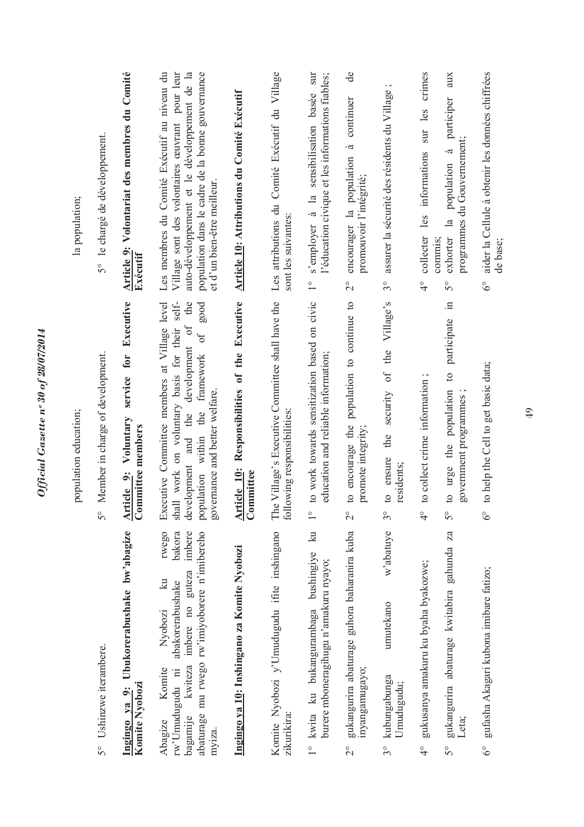|                  |                                                                                                                                                                                                                        | population education;                                                                                                                                                                                                                                   | la population;                                                                                                                                                                                                                   |
|------------------|------------------------------------------------------------------------------------------------------------------------------------------------------------------------------------------------------------------------|---------------------------------------------------------------------------------------------------------------------------------------------------------------------------------------------------------------------------------------------------------|----------------------------------------------------------------------------------------------------------------------------------------------------------------------------------------------------------------------------------|
| 50               | Ushinzwe iterambere.                                                                                                                                                                                                   | Member in charge of development.<br>$5^{\circ}$                                                                                                                                                                                                         | 5° le chargé de développement.                                                                                                                                                                                                   |
|                  | Ingingo ya 9: Ubukorerabushake bw'abagize<br>Komite Nyobozi                                                                                                                                                            | Executive<br>service for<br>Voluntary<br>Committee members<br>Article 9:                                                                                                                                                                                | Article 9: Volontariat des membres du Comité<br>Exécutif                                                                                                                                                                         |
|                  | rwego<br>bakora<br>abaturage mu rwego rw'imiyoborere n'imibereho<br>imbere<br>imbere no guteza<br>$\mathbb{R}$<br>abakorerabushake<br>Nyobozi<br>kwiteza<br>Komite<br>rw'Umudugudu ni<br>bagamije<br>Abagize<br>myıza. | self-<br>of the<br>good<br>Executive Committee members at Village level<br>shall work on voluntary basis for their<br>$\sigma$ f<br>development<br>framework<br>governance and better welfare.<br>the<br>the<br>and<br>population within<br>development | Les membres du Comité Exécutif au niveau du<br>auto-développement et le développement de la<br>population dans le cadre de la bonne gouvernance<br>Village sont des volontaires œuvrant pour leur<br>et d'un bien-être meilleur. |
|                  | Ingingo ya 10: Inshingano za Komite Nyobozi                                                                                                                                                                            | Article 10: Responsibilities of the Executive<br>Committee                                                                                                                                                                                              | Article 10: Attributions du Comité Exécutif                                                                                                                                                                                      |
|                  | Komite Nyobozi y'Umudugudu ifite inshingano<br>zikurikira:                                                                                                                                                             | The Village's Executive Committee shall have the<br>lowing responsibilities:<br>E                                                                                                                                                                       | Les attributions du Comité Exécutif du Village<br>sont les suivantes:                                                                                                                                                            |
|                  | $\mathbb{E}$<br>1° kwita ku bukangurambaga bushingiye<br>burere mboneragihugu n'amakuru nyayo;                                                                                                                         | to work towards sensitization based on civic<br>education and reliable information;<br>$\frac{1}{\sqrt{2}}$                                                                                                                                             | sur<br>l'éducation civique et les informations fiables;<br>s'employer à la sensibilisation basée<br>$\frac{1}{1}$                                                                                                                |
| $\frac{1}{2}$    | gukangurira abaturage guhora baharanira kuba<br>inyangamugayo;                                                                                                                                                         | to encourage the population to continue to<br>promote integrity;<br>$\overset{\circ}{\sim}$                                                                                                                                                             | de<br>encourager la population à continuer<br>promouvoir l'intégrité;<br>$\frac{1}{2}$                                                                                                                                           |
| $3^{\circ}$      | w'abatuye<br>umutekano<br>kubungabunga<br>Umudugudu;                                                                                                                                                                   | Village's<br>of the<br>security<br>the<br>ensure<br>residents;<br>$\mathbf{c}$<br>$\mathcal{S}^{\circ}$                                                                                                                                                 | assurer la sécurité des résidents du Village ;<br>$\mathcal{S}^{\circ}$                                                                                                                                                          |
| $\frac{1}{4}$    | gukusanya amakuru ku byaha byakozwe;                                                                                                                                                                                   | to collect crime information;<br>$\frac{1}{4}$                                                                                                                                                                                                          | crimes<br>sur les<br>informations<br>les<br>collecter<br>$\frac{1}{4}$                                                                                                                                                           |
| $5^{\circ}$      | $Z\overline{a}$<br>gukangurira abaturage kwitabira gahunda<br>Leta;                                                                                                                                                    | $\Xi$<br>to urge the population to participate<br>government programmes<br>$\mathcal{S}^{\circ}$                                                                                                                                                        | aux<br>participer<br>programmes du Gouvernement;<br>population à<br>exhorter la<br>commus;<br>$5^{\circ}$                                                                                                                        |
| $\delta^{\circ}$ | gufasha Akagari kubona imibare fatizo;                                                                                                                                                                                 | to help the Cell to get basic data;<br>$\delta^{\circ}$                                                                                                                                                                                                 | aider la Cellule à obtenir les données chiffrées<br>de base;<br>$6^\circ$                                                                                                                                                        |

Official Gazette nº 30 of 28/07/2014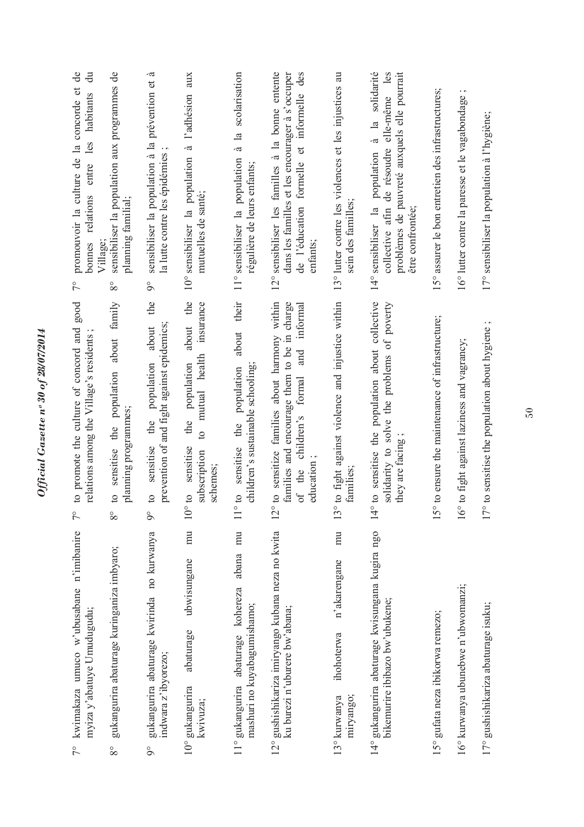| de<br>ਰੋ<br>promouvoir la culture de la concorde et<br>habitants<br>les<br>entre<br>bonnes relations<br>$\sqrt{2}$<br>to promote the culture of concord and good<br>relations among the Village's residents | sensibiliser la population aux programmes de<br>planning familial;<br>Village<br>$8^{\circ}$<br>about family<br>population<br>planning programmes;<br>sensitise the | à<br>sensibiliser la population à la prévention et<br>la lutte contre les épidémies<br>$\delta$<br>the<br>prevention of and fight against epidemics;<br>about<br>population<br>the | aux<br>l'adhésion<br>$\ddot{\sigma}$<br>10° sensibiliser la population<br>mutuelles de santé;<br>the<br>insurance<br>about<br>mutual health<br>population<br>the<br>$\Omega$ | scolarisation<br>$\frac{a}{a}$ la<br>11° sensibiliser la population<br>régulière de leurs enfants;<br>their<br>about<br>children's sustainable schooling<br>population<br>sensitise the | 12° sensibiliser les familles à la bonne entente<br>des<br>dans les familles et les encourager à s'occuper<br>de l'éducation formelle et informelle<br>enfants;<br>to sensitize families about harmony within<br>families and encourage them to be in charge<br>informal<br>and<br>formal<br>children's | 13° lutter contre les violences et les injustices au<br>sein des familles;<br>° to fight against violence and injustice within | solidarité<br>collective afin de résoudre elle-même les<br>problèmes de pauvreté auxquels elle pourrait<br>$\ddot{a}$ la<br>population<br>14° sensibiliser la<br>être confrontée;<br>to sensitise the population about collective<br>solidarity to solve the problems of poverty | 15° assurer le bon entretien des infrastructures;<br>$^{\circ}$ to ensure the maintenance of infrastructure; | $\cdot$ $\sim$<br>16° lutter contre la paresse et le vagabondage<br><sup>o</sup> to fight against laziness and vagrancy; |                                                   |
|-------------------------------------------------------------------------------------------------------------------------------------------------------------------------------------------------------------|---------------------------------------------------------------------------------------------------------------------------------------------------------------------|------------------------------------------------------------------------------------------------------------------------------------------------------------------------------------|------------------------------------------------------------------------------------------------------------------------------------------------------------------------------|-----------------------------------------------------------------------------------------------------------------------------------------------------------------------------------------|---------------------------------------------------------------------------------------------------------------------------------------------------------------------------------------------------------------------------------------------------------------------------------------------------------|--------------------------------------------------------------------------------------------------------------------------------|----------------------------------------------------------------------------------------------------------------------------------------------------------------------------------------------------------------------------------------------------------------------------------|--------------------------------------------------------------------------------------------------------------|--------------------------------------------------------------------------------------------------------------------------|---------------------------------------------------|
| $\zeta$                                                                                                                                                                                                     | $\overline{c}$<br>$8^{\circ}$                                                                                                                                       | sensitise<br>$\Omega$<br>$\circ$                                                                                                                                                   | sensitise<br>subscription<br>schemes;<br>01 <sub>o</sub><br>$\supseteq$                                                                                                      | $\mathfrak{O}1$ o                                                                                                                                                                       | education<br>of the<br>12                                                                                                                                                                                                                                                                               | families;<br>13                                                                                                                | they are facing<br>$\circ$<br>$\overline{4}$                                                                                                                                                                                                                                     | 15                                                                                                           | 16                                                                                                                       | ° to sensitise the population about hygiene<br>17 |
| 7° kwimakaza umuco w'ubusabane n'imibanire<br>myiza y'abatuye Umudugudu;                                                                                                                                    | gukangurira abaturage kuringaniza imbyaro;<br>$8^{\circ}$                                                                                                           | gukangurira abaturage kwirinda no kurwanya<br>indwara z'ibyorezo;<br>$\delta$                                                                                                      | mu<br>ubwisungane<br>abaturage<br>10° gukangurira<br>kwivuza;                                                                                                                | abana mu<br>11° gukangurira abaturage kohereza<br>mashuri no kuyabagumishamo;                                                                                                           | 12° gushishikariza imiryango kubana neza no kwita<br>ku burezi n'uburere bw'abana;                                                                                                                                                                                                                      | $\overline{m}$<br>n'akarengane<br>ihohoterwa<br>miryango;<br>13° kurwanya                                                      | 14° gukangurira abaturage kwisungana kugira ngo<br>bikemurire ibibazo bw'ubukene;                                                                                                                                                                                                | 15° gufata neza ibikorwa remezo;                                                                             | 16° kurwanya ubunebwe n'ubwomanzi;                                                                                       | 17° gushishikariza abaturage isuku;               |

Official Gazette nº 30 of 28/07/2014 *Official Gazette nᵒ 30 of 28/07/2014*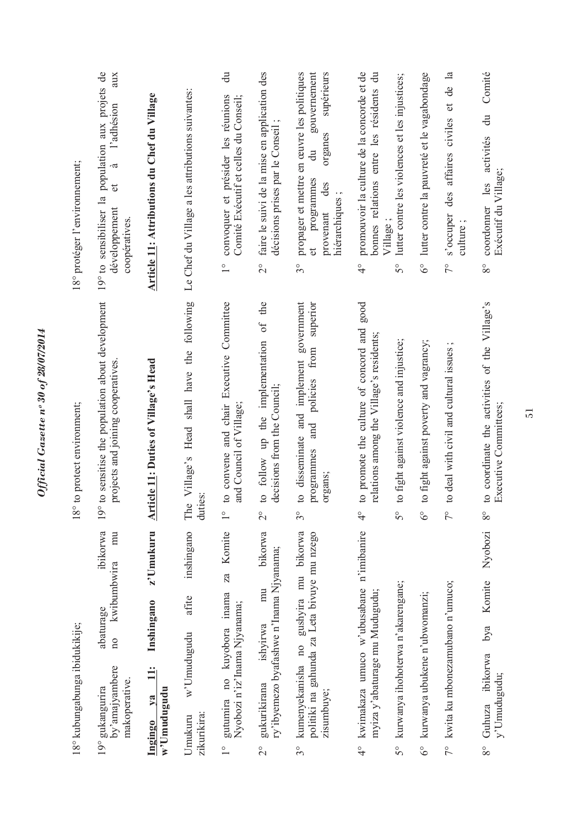|                         | 18° kubungabunga ibidukikije;                                                                                              | 18° to protect environment;                                                                                              | 18° protéger l'environnement;                                                                                                                                            |
|-------------------------|----------------------------------------------------------------------------------------------------------------------------|--------------------------------------------------------------------------------------------------------------------------|--------------------------------------------------------------------------------------------------------------------------------------------------------------------------|
|                         | ibikorwa<br>mu<br>kwibumbwira<br>abaturage<br>$\overline{\text{no}}$<br>by'amajyambere<br>makoperative.<br>19° gukangurira | 19° to sensitise the population about development<br>projects and joining cooperatives                                   | 19° to sensibiliser la population aux projets de<br>aux<br>l'adhésion<br>à<br>$\sigma$<br>développement<br>coopératives.                                                 |
|                         | z'Umukuru<br>Inshingano<br>$\ddot{=}$<br>w'Umudugudu<br>$1$<br>Ingingo                                                     | <b>Article 11: Duties of Village's Head</b>                                                                              | Article 11: Attributions du Chef du Village                                                                                                                              |
|                         | inshingano<br>afite<br>w'Umudugudu<br>zikurikira:<br>Umukuru                                                               | The Village's Head shall have the following<br>duties:                                                                   | Le Chef du Village a les attributions suivantes:                                                                                                                         |
| $\frac{1}{\sqrt{2}}$    | Komite<br>za<br>gutumira no kuyobora inama<br>Nyobozi n'iz'Inama Njyanama;                                                 | to convene and chair Executive Committee<br>and Council of Village;<br>$\frac{1}{\sqrt{2}}$                              | $\ddot{a}$<br>convoquer et présider les réunions<br>Comité Exécutif et celles du Conseil;<br>$\overset{\circ}{\phantom{0}}$                                              |
| $\overset{\circ}{\sim}$ | bikorwa<br>ry'ibyemezo byafashwe n'Inama Njyanama;<br>mu<br>ishvirwa<br>gukurikirana                                       | to follow up the implementation of the<br>decisions from the Council;<br>$\overset{\circ}{\sim}$                         | faire le suivi de la mise en application des<br>décisions prises par le Conseil<br>$\overline{2}^{\circ}$                                                                |
| $3^{\circ}$             | gushyira mu bikorwa<br>gahunda za Leta bivuye mu nzego<br>kumenyekanisha no<br>zisumbuye;<br>politiki na                   | to disseminate and implement government<br>superior<br>from<br>policies<br>and<br>programmes<br>organs;<br>$\frac{1}{3}$ | propager et mettre en œuvre les politiques<br>supérieurs<br>gouvernement<br>organes<br>$\vec{a}$<br>programmes<br>des<br>hiérarchiques;<br>provenant<br>đ<br>$3^{\circ}$ |
| ू<br>प                  | n'imibanire<br>kwimakaza umuco w'ubusabane<br>myiza y'abaturage mu Mudugudu;                                               | to promote the culture of concord and good<br>relations among the Village's residents;<br>$\frac{1}{4}$                  | promouvoir la culture de la concorde et de<br>bonnes relations entre les résidents du<br>$\overset{\circ}{4}$                                                            |
| $5^{\circ}$             | kurwanya ihohoterwa n'akarengane;                                                                                          | to fight against violence and injustice;<br>$\overline{5}^{\circ}$                                                       | lutter contre les violences et les injustices;<br>Village;<br>50                                                                                                         |
| $6^\circ$               | kurwanya ubukene n'ubwomanzi;                                                                                              | to fight against poverty and vagrancy;<br>$6^{\circ}$                                                                    | 6° lutter contre la pauvreté et le vagabondage                                                                                                                           |
|                         | 7° kwita ku mbonezamubano n'umuco;                                                                                         | $\cdot$ $\sim$<br>to deal with civil and cultural issues<br>$\frac{1}{2}$                                                | $\mathbf{a}$<br>ප්<br>des affaires civiles et<br>s'occuper<br>culture;<br>$7^{\circ}$                                                                                    |
| $8^{\circ}$             | Nyobozi<br>Komite<br>bya<br>ibikorwa<br>y'Umudugudu;<br>Guhuza                                                             | to coordinate the activities of the Village's<br>Executive Committees;<br>$\rm{8^o}$                                     | Comité<br>$\ddot{a}$<br>activités<br>Exécutif du Village;<br>les<br>coordonner<br>$8^{\circ}$                                                                            |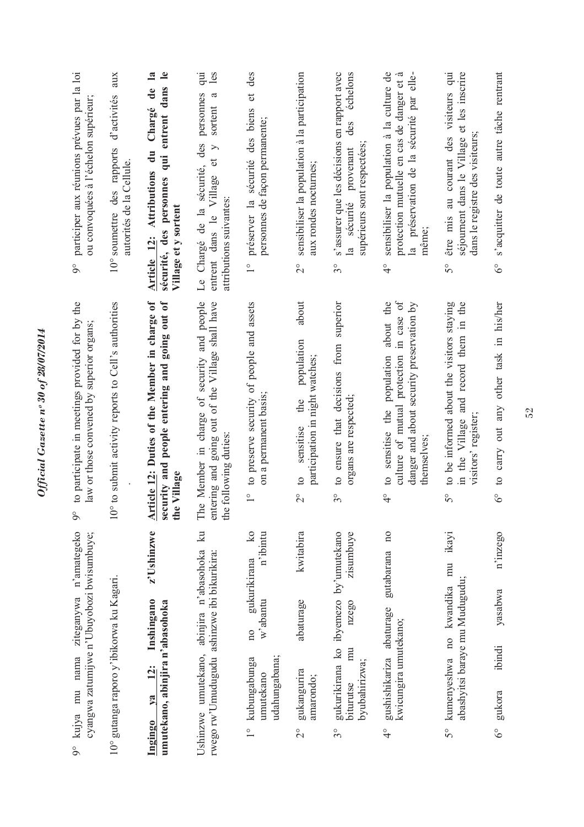| å                       | cyangwa zatumijwe n'Ubuyobozi bwisumbuye;<br>kujya mu nama                              |                                                                  | ziteganywa n'amategeko                              | to participate in meetings provided for by the<br>law or those convened by superior organs;<br>$\delta$                                                          | participer aux réunions prévues par la loi<br>ou convoquées à l'échelon supérieur;<br>$\delta$                                                                                        |
|-------------------------|-----------------------------------------------------------------------------------------|------------------------------------------------------------------|-----------------------------------------------------|------------------------------------------------------------------------------------------------------------------------------------------------------------------|---------------------------------------------------------------------------------------------------------------------------------------------------------------------------------------|
|                         | 10° gutanga raporo y'ibikorwa ku Kagari.                                                |                                                                  |                                                     | 10° to submit activity reports to Cell's authorities                                                                                                             | aux<br>d'activités<br>10° soumettre des rapports<br>autorités de la Cellule.                                                                                                          |
| <b>Ingingo</b>          | umutekano, abinjira n'abasohoka<br>12:<br>$1$                                           | Inshingano                                                       | z'Ushinzwe                                          | Article 12: Duties of the Member in charge of<br>security and people entering and going out of<br>the Village                                                    | $\mathbf{e}$<br>$\mathbf{a}$<br>sécurité, des personnes qui entrent dans<br>$\mathbf{d}\mathbf{e}$<br>Chargé<br>$\ddot{a}$<br><b>Article 12: Attributions</b><br>Village et y sortent |
|                         | Ushinzwe umutekano, abinjira n'abasohoka<br>rwego rw'Umudugudu ashinzwe ibi bikurikira: |                                                                  | $\mathbb{R}$                                        | e Member in charge of security and people<br>tering and going out of the Village shall have<br>the following duties:<br>É<br>$\epsilon$ nt                       | inb<br>les<br>personnes<br>sortent a<br>des<br>$\geq$<br>$\sigma$<br>Le Chargé de la sécurité,<br>entrent dans le Village<br>attributions suivantes:                                  |
| $\frac{1}{1}$           | udahungabana;<br>kubungabunga<br>umutekano                                              | w'abantu<br>10 <sub>0</sub>                                      | $\overline{\mathbf{k}}$<br>n'ibintu<br>gukurikirana | to preserve security of people and assets<br>on a permanent basis;<br>$\frac{1}{\sqrt{2}}$                                                                       | des<br>$\vec{c}$<br>sécurité des biens<br>personnes de façon permanente;<br>préserver la<br>$\overset{\circ}{\phantom{0}}$                                                            |
| $\overset{\circ}{\sim}$ | gukangurira<br>amarondo;                                                                | abaturage                                                        | kwitabira                                           | about<br>population<br>participation in night watches;<br>the<br>sensitise<br>$\circ$<br>$\overline{C}$                                                          | sensibiliser la population à la participation<br>aux rondes nocturnes;<br>$\frac{1}{2}$                                                                                               |
| s°                      | byubahirizwa;<br>biturutse                                                              | gukurikirana ko ibyemezo by'umutekano<br>nzego<br>$\overline{m}$ | zisumbuye                                           | to ensure that decisions from superior<br>organs are respected;<br>$\mathcal{S}^{\circ}$                                                                         | s'assurer que les décisions en rapport avec<br>échelons<br>des<br>supérieurs sont respectées<br>sécurité provenant<br>$\overline{a}$<br>$\mathcal{S}^{\circ}$                         |
| $\frac{1}{4}$           | gushishikariza abaturage<br>kwicungira umutekano;                                       |                                                                  | $\overline{10}$<br>gutabarana                       | about the<br>culture of mutual protection in case of<br>danger and about security preservation by<br>to sensitise the population<br>themselves;<br>$\frac{1}{4}$ | sensibiliser la population à la culture de<br>-ದ<br>la préservation de la sécurité par elle-<br>protection mutuelle en cas de danger et<br>même;<br>$\frac{1}{4}$                     |
| 50                      | kumenyeshwa no kwandika                                                                 | abashyitsi baraye mu Mudugudu;                                   | ikayi<br>mu                                         | to be informed about the visitors staying<br>in the Village and record them in the<br>visitors' register;<br>$5^{\circ}$                                         | au courant des visiteurs qui<br>séjournent dans le Village et les inscrire<br>dans le registre des visiteurs<br>être mis<br>$\mathcal{S}^{\circ}$                                     |
| $\delta^{\circ}$        | ibindi<br>gukora                                                                        | yasabwa                                                          | n'inzego                                            | to carry out any other task in his/her<br>$6^\circ$                                                                                                              | s'acquitter de toute autre tâche rentrant<br>$\delta^{\circ}$                                                                                                                         |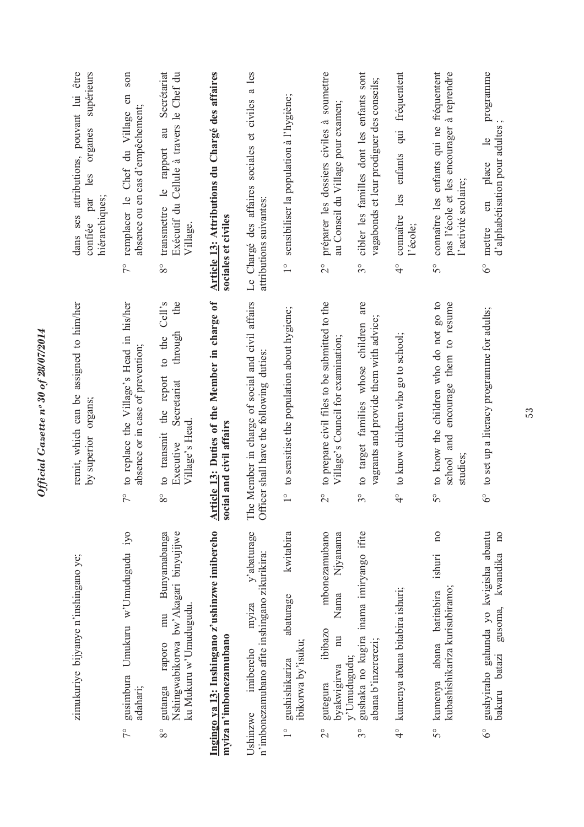| être<br>supérieurs<br>dans ses attributions, pouvant lui<br>organes<br>les<br>par<br>hiérarchiques;<br>confiée | son<br>en<br>absence ou en cas d'empêchement;<br>remplacer le Chef du Village<br>$7^{\circ}$   | Exécutif du Cellule à travers le Chef du<br>Secrétariat<br>le rapport au<br>transmettre<br>Village.<br>$8^{\circ}$           | Article 13: Attributions du Chargé des affaires<br>sociales et civiles           | Le Chargé des affaires sociales et civiles a les<br>attributions suivantes:                     | sensibiliser la population à l'hygiène;<br>$\frac{1}{\sqrt{2}}$                        | préparer les dossiers civiles à soumettre<br>au Conseil du Village pour examen;<br>$\overline{C}$                                    | cibler les familles dont les enfants sont<br>vagabonds et leur prodiguer des conseils;<br>$3^{\circ}$ | fréquentent<br>les enfants qui<br>connaître<br>l'école;<br>$\frac{1}{4}$ | connaître les enfants qui ne fréquentent<br>pas l'école et les encourager à reprendre<br>l'activité scolaire;<br>S° | programme<br>d'alphabétisation pour adultes<br>$\frac{1}{2}$<br>place<br>en<br>mettre<br>$6^\circ$            |
|----------------------------------------------------------------------------------------------------------------|------------------------------------------------------------------------------------------------|------------------------------------------------------------------------------------------------------------------------------|----------------------------------------------------------------------------------|-------------------------------------------------------------------------------------------------|----------------------------------------------------------------------------------------|--------------------------------------------------------------------------------------------------------------------------------------|-------------------------------------------------------------------------------------------------------|--------------------------------------------------------------------------|---------------------------------------------------------------------------------------------------------------------|---------------------------------------------------------------------------------------------------------------|
| remit, which can be assigned to him/her<br>organs;<br>by superior                                              | to replace the Village's Head in his/her<br>absence or in case of prevention;<br>$\frac{1}{2}$ | the<br>Cell's<br>through<br>to the<br>the report<br>Secretariat<br>Village's Head<br>to transmit<br>Executive<br>$8^{\circ}$ | <b>Article 13: Duties of the Member in charge of</b><br>social and civil affairs | Member in charge of social and civil affairs<br>Officer shall have the following duties:<br>The | to sensitise the population about hygiene;<br>$\circ$                                  | to prepare civil files to be submitted to the<br>Village's Council for examination;<br>$\overline{c}$                                | to target families whose children are<br>vagrants and provide them with advice;<br>$\circ$<br>$\sim$  | to know children who go to school;<br>$\circ$                            | to know the children who do not go to<br>encourage them to resume<br>and<br>studies;<br>school<br>$5^{\circ}$       | to set up a literacy programme for adults;<br>$6^{\circ}$                                                     |
| zimukuriye bijyanye n'inshingano ye;                                                                           | iyo<br>Umukuru w'Umudugudu<br>gusimbura<br>adahari;<br>$\tilde{7}^{\circ}$                     | Nshingwabikorwa bw'Akagari binyujijwe<br>Bunyamabanga<br>ku Mukuru w'Umudugudu.<br>mu<br>raporo<br>gutanga<br>$8^{\circ}$    | Ingingo ya 13: Inshingano z'ushinzwe imibereho<br>myiza n'imbonezamubano         | y'abaturage<br>n'imbonezamubano afite inshingano zikurikira:<br>myiza<br>imibereho<br>Ushinzwe  | kwitabira<br>abaturage<br>ibikorwa by'isuku;<br>gushishikariza<br>$\frac{1}{\sqrt{2}}$ | mbonezamubano<br>Njyanama<br>Nama<br>ibibazo<br>$\overline{\mathbb{R}}$<br>y'Umudugudu;<br>byakwigirwa<br>gutegura<br>$\overline{C}$ | gushaka no kugira inama imiryango ifite<br>abana b'inzererezi;<br>$\widetilde{\mathcal{S}}^{\circ}$   | kumenya abana bitabira ishuri;<br>$\frac{1}{4}$                          | $\overline{a}$<br>ishuri<br>kubashishikariza kurisubiramo;<br>batitabira<br>abana<br>kumenya<br>50                  | gushyiraho gahunda yo kwigisha abantu<br>$\overline{10}$<br>kwandika<br>gusoma,<br>bakuru batazi<br>$6^\circ$ |

*Official Gazette nᵒ 30 of 28/07/2014*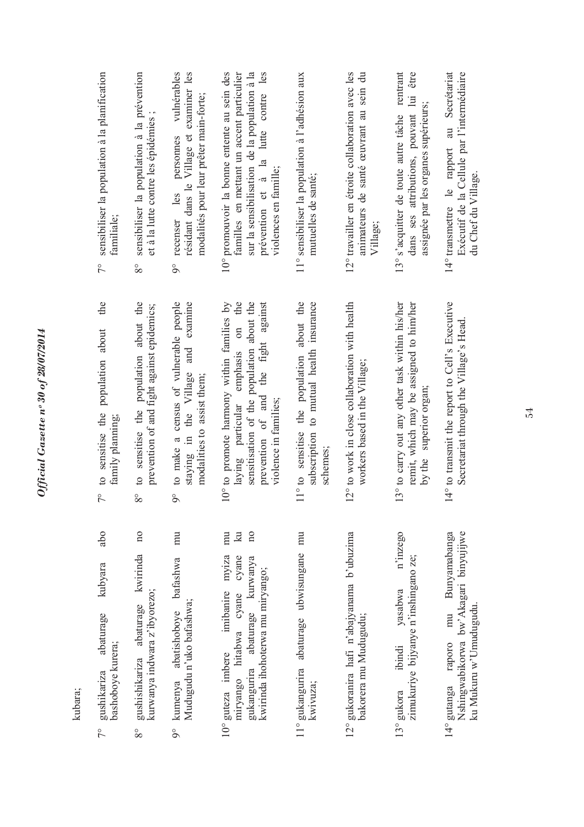| sensibiliser la population à la planification<br>familiale:<br>$\sqrt{2}$<br>the | sensibiliser la population à la prévention<br>et à la lutte contre les épidémies ;<br>$8^{\circ}$ | personnes vulnérables<br>résidant dans le Village et examiner les<br>modalités pour leur prêter main-forte;<br>recenser les<br>$\delta$<br>and examine | 10° promouvoir la bonne entente au sein des<br>prévention et à la lutte contre les<br>familles en mettant un accent particulier<br>sur la sensibilisation de la population à la<br>violences en famille; | 11° sensibiliser la population à l'adhésion aux<br>mutuelles de santé;                           | 12° travailler en étroite collaboration avec les<br>animateurs de santé œuvrant au sein du<br>Village; | 13° s'acquitter de toute autre tâche rentrant<br>être<br>dans ses attributions, pouvant lui<br>assignée par les organes supérieurs; | au Secrétariat<br>Exécutif de la Cellule par l'intermédiaire<br>14° transmettre le rapport<br>du Chef du Village. |
|----------------------------------------------------------------------------------|---------------------------------------------------------------------------------------------------|--------------------------------------------------------------------------------------------------------------------------------------------------------|----------------------------------------------------------------------------------------------------------------------------------------------------------------------------------------------------------|--------------------------------------------------------------------------------------------------|--------------------------------------------------------------------------------------------------------|-------------------------------------------------------------------------------------------------------------------------------------|-------------------------------------------------------------------------------------------------------------------|
| population about<br>to sensitise the<br>family planning;                         | to sensitise the population about the<br>prevention of and fight against epidemics;               | to make a census of vulnerable people<br>staying in the Village<br>modalities to assist them;                                                          | 10° to promote harmony within families by<br>sensitisation of the population about the<br>laying particular emphasis on the<br>prevention of and the fight against<br>violence in families;              | 11° to sensitise the population about the<br>subscription to mutual health insurance<br>schemes; | 12° to work in close collaboration with health<br>workers based in the Village;                        | 13° to carry out any other task within his/her<br>remit, which may be assigned to him/her<br>by the superior organ;                 | 14° to transmit the report to Cell's Executive<br>Secretariat through the Village's Head.                         |
| $\frac{1}{2}$                                                                    | $8^{\circ}$                                                                                       | $\delta$                                                                                                                                               |                                                                                                                                                                                                          |                                                                                                  |                                                                                                        |                                                                                                                                     |                                                                                                                   |
| abo<br>kubyara                                                                   | $\overline{a}$<br>kwirinda<br>orezo;<br>age                                                       | $\overline{m}$<br>re bafashwa<br>hwa;                                                                                                                  | $\overline{n}$<br>$\Xi$<br>mu<br>cyane cyane<br>banire myiza<br>se kurwanya<br>1 miryango;                                                                                                               | mu<br>ubwisungane                                                                                | yanama b'ubuzima                                                                                       | isabwa n'inzego<br>inshingano ze;                                                                                                   | Bunyamabanga<br>Akagari binyujijwe<br>ıdu.                                                                        |

kubara;

- 7° gushikariza abaturage kubyara abo 7° gushikariza abaturage<br>bashoboye kurera; bashoboye kurera;
- 8° gushishikariza abaturage kwirinda no kurwanya indwara z'ibyorezo; gushishikariza abatura<br>kurwanya indwara z'iby  $8^{\circ}$
- 9° kumenya abatishoboye bafashwa mu Mudugudu n'uko bafashwa; 9° kumenya abatishoboy<br>Mudugudu n'uko bafash
- 10° guteza imbere imibanire myiza mu miryango hitabwa cyane cyane ku gukangurira abaturage kurwanya no kwirinda ihohoterwa mu miryango; 10° guteza imbere imiban<br>miryango hitabwa cya<br>gukangurira abaturage<br>kwirinda ihohoterwa mu n
- 11° gukangurira abaturage ubwisungane mu  $11^{\circ}$ gukangurira abaturage kwivuza;
- 12° gukoranira hafi n'abajyanama b'ubuzima bakorera mu Mudugudu; 12° gukoranira hafi n'abajy<br>bakorera mu Mudugudu
- 13° gukora ibindi yasabwa n'inzego zimukuriye bijyanye n'inshingano ze; 13° gukora ibindi ya:<br>zimukuriye bijyanye n'i
- 14° gutanga raporo mu Bunyamabanga Nshingwabikorwa bw'Akagari binyujijwe ku Mukuru w'Umudugudu.  $14^{\circ}$  gutanga raporo mu<br>Nshingwabikorwa bw'A<br>ku Mukuru w'Umudugu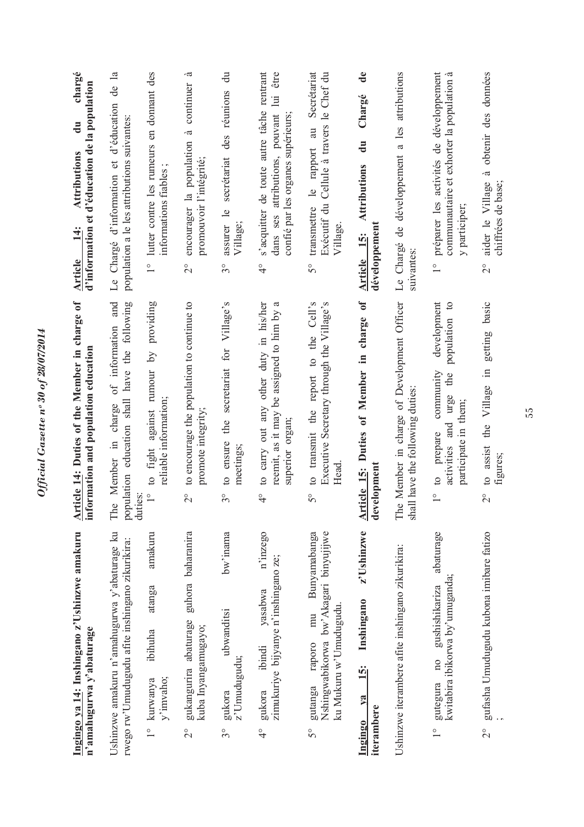| Ingingo ya 14: Inshingano z'Ushinzwe amakuru<br>n'amahugurwa y'abaturage                                                  | <b>Article 14:</b> Duties of the Member in charge of<br>information and population education                                                                  | chargé<br>d'information et d'éducation de la population<br>$\ddot{a}$<br>Attributions<br>$\frac{4}{3}$<br><b>Article</b>                            |
|---------------------------------------------------------------------------------------------------------------------------|---------------------------------------------------------------------------------------------------------------------------------------------------------------|-----------------------------------------------------------------------------------------------------------------------------------------------------|
| Ushinzwe amakuru n'amahugurwa y'abaturage ku<br>rwego rw'Umudugudu afite inshingano zikurikira:                           | of information and<br>population education shall have the following<br>The Member in charge<br>duties:                                                        | d'éducation de la<br>population a le les attributions suivantes<br>Le Chargé d'information et                                                       |
| amakuru<br>atanga<br>ibihuha<br>y'imvaho;<br>1° kurwanya                                                                  | to fight against rumour by providing<br>reliable information;<br>$\frac{1}{2}$                                                                                | lutter contre les rumeurs en donnant des<br>informations fiables<br>$\frac{1}{1}$                                                                   |
| guhora baharanira<br>gukangurira abaturage<br>kuba Inyangamugayo;<br>$\overline{C}$                                       | to encourage the population to continue to<br>promote integrity;<br>$\overline{2}^{\circ}$                                                                    | à<br>à continuer<br>encourager la population<br>promouvoir l'intégrité;<br>$\overset{\circ}{\sim}$                                                  |
| bw'inama<br>ubwanditsi<br>z'Umudugudu;<br>gukora<br>$3^{\circ}$                                                           | the secretariat for Village's<br>to ensure<br>meetings;<br>$3^{\circ}$                                                                                        | $\ddot{\vec{a}}$<br>des réunions<br>secrétariat<br>assurer le<br>Village;<br>$3^{\circ}$                                                            |
| n'inzego<br>zimukuriye bijyanye n'inshingano ze;<br>yasabwa<br>ibindi<br>gukora<br>$\frac{1}{4}$                          | reemit, as it may be assigned to him by a<br>to carry out any other duty in his/her<br>superior organ;<br>$\frac{1}{4}$                                       | s'acquitter de toute autre tâche rentrant<br>être<br>$\Xi$<br>dans ses attributions, pouvant<br>confié par les organes supérieurs;<br>$\frac{1}{4}$ |
| Nshingwabikorwa bw'Akagari binyujijwe<br>Bunyamabanga<br>ku Mukuru w'Umudugudu.<br>mu<br>raporo<br>gutanga<br>$5^{\circ}$ | to transmit the report to the Cell's<br>Executive Secretary through the Village's<br>Head<br>$5^{\circ}$                                                      | Secrétariat<br>Exécutif du Cellule à travers le Chef du<br>$\overline{a}$<br>le rapport<br>transmettre<br>Village.<br>$\mathcal{S}^{\circ}$         |
| z'Ushinzwe<br>Inshingano<br><u>is:</u><br>$\sqrt{a}$<br>iterambere<br>Ingingo                                             | Article 15: Duties of Member in charge of<br>development                                                                                                      | $\mathbf{d}\mathbf{e}$<br>Chargé<br>$\ddot{a}$<br><b>Attributions</b><br>développement<br><b>Article</b> 15:                                        |
| Ushinzwe iterambere afite inshingano zikurikira:                                                                          | The Member in charge of Development Officer<br>shall have the following duties                                                                                | Le Chargé de développement a les attributions<br>suivantes:                                                                                         |
| abaturage<br>kwitabira ibikorwa by'umuganda;<br>gushishikariza<br>$n_{0}$<br>gutegura<br>$\frac{1}{1}$                    | development<br>$\frac{1}{2}$<br>population<br>community<br>the<br>urge<br>participate in them;<br>activities and<br>prepare<br>$\frac{1}{2}$<br>$\frac{1}{1}$ | préparer les activités de développement<br>communautaire et exhorter la population à<br>y participer;<br>$\frac{1}{\sqrt{2}}$                       |
| gufasha Umudugudu kubona imibare fatizo<br>$\frac{1}{2}$                                                                  | getting basic<br>$\equiv$<br>Village<br>the<br>to assist<br>figures;<br>$\frac{1}{2}$                                                                         | obtenir des données<br>à<br>aider le Village<br>chiffrées de base;<br>$\overline{C}$                                                                |

Official Gazette nº 30 of 28/07/2014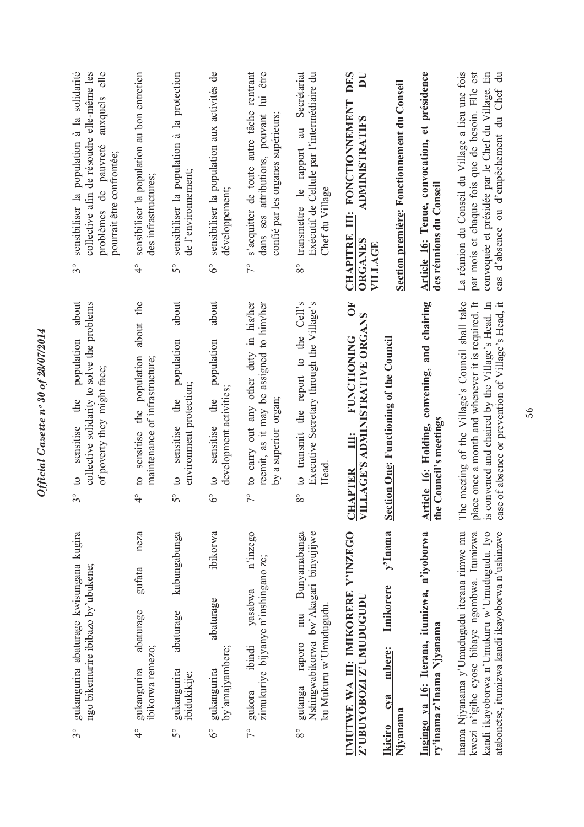| collective afin de résoudre elle-même les<br>sensibiliser la population à la solidarité<br>$_{\rm ele}$<br>auxquels<br>problèmes de pauvreté<br>pourrait être confrontée;<br>$\mathcal{S}^{\circ}$ | sensibiliser la population au bon entretien<br>des infrastructures;<br>$\frac{1}{4}$                   | sensibiliser la population à la protection<br>de l'environnement;<br>$5^{\circ}$             | sensibiliser la population aux activités de<br>développement;<br>$\delta^{\circ}$                | s'acquitter de toute autre tâche rentrant<br>être<br>dans ses attributions, pouvant lui<br>confié par les organes supérieurs;<br>$\tilde{7}^{\circ}$ | transmettre le rapport au Secrétariat<br>Exécutif de Cellule par l'intermédiaire du<br>Chef du Village<br>$8^{\circ}$     | <b>DES</b><br>$\overline{\mathbf{D}}$<br>Section première: Fonctionnement du Conseil<br>III: FONCTIONNEMENT<br>ADMINISTRATIFS<br><b>CHAPITRE</b><br><b>ORGANES</b><br>VILLAGE | Article 16: Tenue, convocation, et présidence<br>des réunions du Conseil  | La réunion du Conseil du Village a lieu une fois<br>par mois et chaque fois que de besoin. Elle est<br>convoquée et présidée par le Chef du Village. En<br>cas d'absence ou d'empêchement du Chef du              |
|----------------------------------------------------------------------------------------------------------------------------------------------------------------------------------------------------|--------------------------------------------------------------------------------------------------------|----------------------------------------------------------------------------------------------|--------------------------------------------------------------------------------------------------|------------------------------------------------------------------------------------------------------------------------------------------------------|---------------------------------------------------------------------------------------------------------------------------|-------------------------------------------------------------------------------------------------------------------------------------------------------------------------------|---------------------------------------------------------------------------|-------------------------------------------------------------------------------------------------------------------------------------------------------------------------------------------------------------------|
| about<br>collective solidarity to solve the problems<br>population<br>of poverty they might face;<br>the<br>sensitise<br>$\circ$<br>$\mathcal{S}^{\circ}$                                          | the<br>about<br>sensitise the population<br>maintenance of infrastructure;<br>$\circ$<br>$\frac{1}{4}$ | about<br>population<br>environment protection;<br>the<br>sensitise<br>$\circ$<br>$5^{\circ}$ | about<br>population<br>development activities<br>the<br>sensitise<br>$\circ$<br>$\delta^{\circ}$ | to carry out any other duty in his/her<br>reemit, as it may be assigned to him/her<br>by a superior organ;<br>$\tilde{7}^{\circ}$                    | to transmit the report to the Cell's<br>Executive Secretary through the Village's<br>Head<br>$8^{\circ}$                  | ŌF<br><b>LLAGE'S ADMINISTRATIVE ORGANS</b><br><b>FUNCTIONING</b><br><b>Section One: Functioning of the Council</b><br>i<br>III:<br><b>CHAPTER<br/>VILLAGE'S</b>               | Article 16: Holding, convening, and chairing<br>the Council's meetings    | The meeting of the Village's Council shall take<br>place once a month and whenever it is required. It<br>case of absence or prevention of Village's Head, it<br>is convened and chaired by the Village's Head. In |
| gukangurira abaturage kwisungana kugira<br>ngo bikemurire ibibazo by'ubukene;<br>$\mathcal{S}^{\circ}$                                                                                             | neza<br>gufata<br>abaturage<br>ibikorwa remezo;<br>gukangurira<br>$\frac{1}{4}$                        | kubungabunga<br>abaturage<br>gukangurira<br>ibidukikije;<br>$\mathcal{S}^{\circ}$            | ibikorwa<br>abaturage<br>by'amajyambere;<br>gukangurira<br>$\delta^{\circ}$                      | n'inzego<br>zimukuriye bijyanye n'inshingano ze;<br>yasabwa<br>ibindi<br>gukora<br>$\tilde{7}^{\circ}$                                               | Bunyamabanga<br>Nshingwabikorwa bw'Akagari binyujijwe<br>ku Mukuru w'Umudugudu.<br>mu<br>raporo<br>gutanga<br>$8^{\circ}$ | UMUTWE WA III: IMIKORERE Y'INZEGO<br>$y'$ Inama<br>Imikorere<br>Z'UBUYOBOZI Z'UMUDUGUDU<br>mbere:<br>cva<br>Njyanama<br><b>Ikiciro</b>                                        | Ingingo ya 16: Iterana, itumizwa, n'iyoborwa<br>ry'inama z'Inama Njyanama | Inama Njyanama y'Umudugudu iterana rimwe mu<br>kwezi n'igihe cyose bibaye ngombwa. Itumizwa<br>kandi ikayoborwa n'Umukuru w'Umudugudu. Iyo<br>atabonetse, itumizwa kandi ikayoborwa n'ushinzwe                    |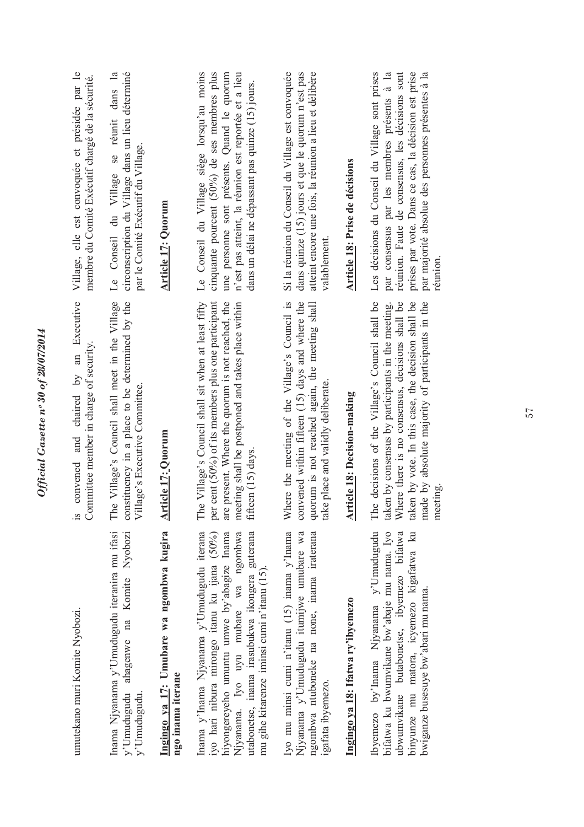| umutekano muri Komite Nyobozi.                                                                                                                                                                                                                                                   | convened and chaired by an Executive<br>Committee member in charge of security.<br>Š.                                                                                                                                                                                             | Village, elle est convoquée et présidée par le<br>membre du Comité Exécutif chargé de la sécurité.                                                                                                                                                                      |
|----------------------------------------------------------------------------------------------------------------------------------------------------------------------------------------------------------------------------------------------------------------------------------|-----------------------------------------------------------------------------------------------------------------------------------------------------------------------------------------------------------------------------------------------------------------------------------|-------------------------------------------------------------------------------------------------------------------------------------------------------------------------------------------------------------------------------------------------------------------------|
| Inama Njyanama y'Umudugudu iteranira mu ifasi<br>ahagenwe na Komite Nyobozi<br>y'Umudugudu<br>y'Umudugudu.                                                                                                                                                                       | Village's Council shall meet in the Village<br>constituency in a place to be determined by the<br>Village's Executive Committee.<br>The                                                                                                                                           | circonscription du Village dans un lieu déterminé<br>dans la<br>Le Conseil du Village se réunit<br>par le Comité Exécutif du Village.                                                                                                                                   |
| Ingingo ya 17: Umubare wa ngombwa kugira<br>ngo inama iterane                                                                                                                                                                                                                    | <b>Article 17: Quorum</b>                                                                                                                                                                                                                                                         | <b>Article 17: Quorum</b>                                                                                                                                                                                                                                               |
| Inama y'Inama Njyanama y'Umudugudu iterana<br>utabonetse, inama irasubukwa ikongera guterana<br>iyo hari nibura mirongo itanu ku ijana (50%)<br>Njyanama. Iyo uyu mubare wa ngombwa<br>hiyongereyeho umuntu umwe by'abagize Inama<br>mu gihe kitarenze iminsi cumi n'itanu (15). | The Village's Council shall sit when at least fifty<br>cent (50%) of its members plus one participant<br>present. Where the quorum is not reached, the<br>meeting shall be postponed and takes place within<br>fifteen (15) days.<br>per<br>are                                   | Le Conseil du Village siège lorsqu'au moins<br>cinquante pourcent (50%) de ses membres plus<br>n'est pas atteint, la réunion est reportée et a lieu<br>une personne sont présents. Quand le quorum<br>dans un délai ne dépassant pas quinze (15) jours.                 |
| Iyo mu minsi cumi n'itanu (15) inama y'Inama<br>Njyanama y'Umudugudu itumijwe umubare wa<br>ngombwa ntuboneke na none, inama iraterana<br>igatata ibyemezo.                                                                                                                      | Where the meeting of the Village's Council is<br>convened within fifteen (15) days and where the<br>quorum is not reached again, the meeting shall<br>take place and validly deliberate                                                                                           | Si la réunion du Conseil du Village est convoquée<br>atteint encore une fois, la réunion a lieu et délibère<br>dans quinze (15) jours et que le quorum n'est pas<br>valablement                                                                                         |
| Ingingo ya 18: Ifatwa ry'ibyemezo                                                                                                                                                                                                                                                | Article 18: Decision-making                                                                                                                                                                                                                                                       | <b>Article 18: Prise de décisions</b>                                                                                                                                                                                                                                   |
| Ibyemezo by'Inama Njyanama y'Umudugudu<br>bifatwa ku bwumvikane bw'abaje mu nama. Iyo<br>binyunze mu matora, icyemezo kigafatwa ku<br>ubwumvikane butabonetse, ibyemezo bifatwa<br>bwiganze busesuye bw'abari mu nama.                                                           | decisions of the Village's Council shall be<br>Where there is no consensus, decisions shall be<br>taken by vote. In this case, the decision shall be<br>made by absolute majority of participants in the<br>taken by consensus by participants in the meeting.<br>meeting.<br>The | réunion. Faute de consensus, les décisions sont<br>prises par vote. Dans ce cas, la décision est prise<br>Les décisions du Conseil du Village sont prises<br>par majorité absolue des personnes présentes à la<br>par consensus par les membres présents à la<br>réumon |
|                                                                                                                                                                                                                                                                                  |                                                                                                                                                                                                                                                                                   |                                                                                                                                                                                                                                                                         |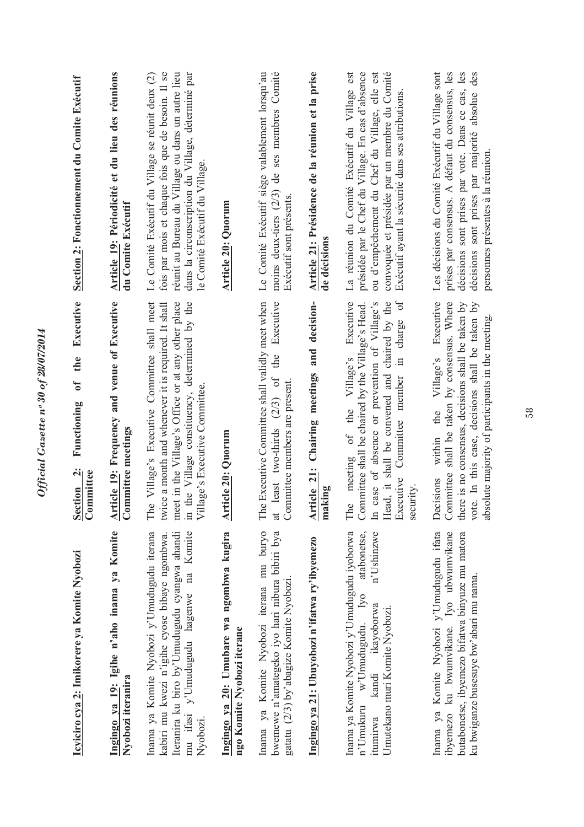| <u>Icyiciro cya 2: Imikorere ya Komite Nyobozi</u>                                                                                                                                                 | Executive<br>the<br>ð<br>Functioning<br>Section 2:<br>Committee                                                                                                                                                                                                                  | Section 2: Fonctionnement du Comite Exécutif                                                                                                                                                                                                            |
|----------------------------------------------------------------------------------------------------------------------------------------------------------------------------------------------------|----------------------------------------------------------------------------------------------------------------------------------------------------------------------------------------------------------------------------------------------------------------------------------|---------------------------------------------------------------------------------------------------------------------------------------------------------------------------------------------------------------------------------------------------------|
| Ingingo ya 19: Igihe n'aho inama ya Komite<br>Nyobozi iteranira                                                                                                                                    | Article 19: Frequency and venue of Executive<br>Committee meetings                                                                                                                                                                                                               | Article 19: Périodicité et du lieu des réunions<br>du Comite Exécutif                                                                                                                                                                                   |
| Inama ya Komite Nyobozi y'Umudugudu iterana<br>Iteranira ku biro by'Umudugudu cyangwa ahandi<br>mu ifasi y'Umudugudu hagenwe na Komite<br>kabiri mu kwezi n'igihe cyose bibaye ngombwa<br>Nyobozi. | Village's Executive Committee shall meet<br>meet in the Village's Office or at any other place<br>the Village constituency, determined by the<br>twice a month and whenever it is required. It shall<br>Village's Executive Committee<br>The<br>$\Xi$                            | fois par mois et chaque fois que de besoin. Il se<br>réunit au Bureau du Village ou dans un autre lieu<br>dans la circonscription du Village, déterminé par<br>Le Comité Exécutif du Village se réunit deux (2)<br>le Comité Exécutif du Village.       |
| Ingingo ya 20: Umubare wa ngombwa kugira<br>ngo Komite Nyobozi iterane                                                                                                                             | Article 20: Quorum                                                                                                                                                                                                                                                               | <b>Article 20: Quorum</b>                                                                                                                                                                                                                               |
| Inama ya Komite Nyobozi iterana mu buryo<br>bwemewe n'amategeko iyo hari nibura bibiri bya<br>gatatu (2/3) by abagize Komite Nyobozi.                                                              | Executive<br>The Executive Committee shall validly meet when<br>the<br>least two-thirds (2/3) of<br>Committee members are present<br>$\ddot{a}$                                                                                                                                  | ses membres Comité<br>Le Comité Exécutif siège valablement lorsqu'au<br>moins deux-tiers (2/3) de<br>Exécutif sont présents.                                                                                                                            |
| Ingingo ya 21: Ubuyobozi n'ifatwa ry'ibyemezo                                                                                                                                                      | and decision-<br>Chairing meetings<br>Article 21:<br>making                                                                                                                                                                                                                      | Article 21: Présidence de la réunion et la prise<br>de décisions                                                                                                                                                                                        |
| Inama ya Komite Nyobozi y'Umudugudu iyoborwa<br>atabonetse,<br>n'Ushinzwe<br>n'Umukuru w'Umudugudu. Iyo<br>kandi ikayoborwa<br>Umutekano muri Komite Nyobozi<br>itumirwa                           | Head, it shall be convened and chaired by the<br>ð<br>Executive<br>case of absence or prevention of Village's<br>Committee shall be chaired by the Village's Head.<br>in charge<br>meeting of the Village's<br>Committee member<br>Executive<br>security.<br>The<br>$\mathbb{H}$ | présidée par le Chef du Village. En cas d'absence<br>ou d'empêchement du Chef du Village, elle est<br>convoquée et présidée par un membre du Comité<br>La réunion du Comité Exécutif du Village est<br>Exécutif ayant la sécurité dans ses attributions |
| Inama ya Komite Nyobozi y'Umudugudu ifata<br>butabonetse, ibyemezo bifatwa binyuze mu matora<br>ibyemezo ku bwumvikane. Iyo ubwumvikane<br>ku bwiganze busesuye bw'abari mu nama.                  | there is no consensus, decisions shall be taken by<br>vote. In this case, decisions shall be taken by<br>Executive<br>Committee shall be taken by consensus. Where<br>absolute majority of participants in the meeting<br>Village's<br>the<br>within<br>Decisions                | Les décisions du Comité Exécutif du Village sont<br>décisions sont prises par vote. Dans ce cas, les<br>des<br>prises par consensus. A défaut du consensus, les<br>décisions sont prises par majorité absolue<br>personnes présentes à la réunion       |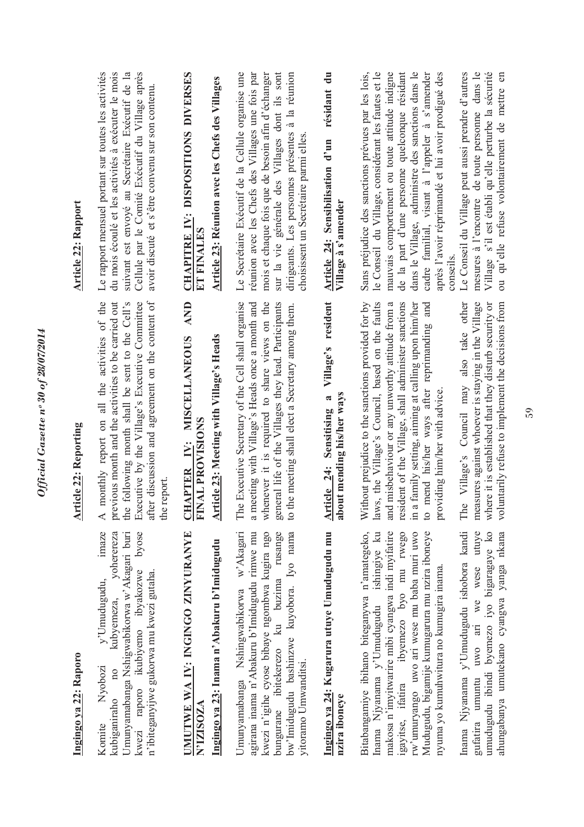| <b>Article 22: Rapport</b>   | Le rapport mensuel portant sur toutes les activités<br>Cellule par le Comité Exécutif du Village après<br>du mois écoulé et les activités à exécuter le mois<br>suivant est envoyé au Secrétaire Exécutif de la<br>avoir discuté et s'être convenu sur son contenu.            | <b>CHAPITRE IV: DISPOSITIONS DIVERSES</b><br>Article 23: Réunion avec les Chefs des Villages<br>ET FINALES<br><b>AND</b><br><b>MISCELLANEOUS</b> | sur la vie générale des Villages dont ils sont<br>Le Secrétaire Exécutif de la Cellule organise une<br>réunion avec les Chefs des Villages une fois par<br>mois et chaque fois que de besoin afin d'échanger<br>dirigeants. Les personnes présentes à la réunion<br>choisissent un Secrétaire parmi elles | résidant du<br>Article 24: Sensibilisation d'un<br>Village à s'amender<br>Village's resident | de la part d'une personne quelconque résidant<br>Sans préjudice des sanctions prévues par les lois,<br>le Conseil du Village, considérant les fautes et le<br>mauvais comportement ou toute attitude indigne<br>dans le Village, administre des sanctions dans le<br>cadre familial, visant à l'appeler à s'amender<br>après l'avoir réprimandé et lui avoir prodigué des<br>mesures à l'encontre de toute personne dans le<br>Village s'il est établi qu'elle perturbe la sécurité<br>Le Conseil du Village peut aussi prendre d'autres<br>ou qu'elle refuse volontairement de mettre en<br>conseils                    |
|------------------------------|--------------------------------------------------------------------------------------------------------------------------------------------------------------------------------------------------------------------------------------------------------------------------------|--------------------------------------------------------------------------------------------------------------------------------------------------|-----------------------------------------------------------------------------------------------------------------------------------------------------------------------------------------------------------------------------------------------------------------------------------------------------------|----------------------------------------------------------------------------------------------|--------------------------------------------------------------------------------------------------------------------------------------------------------------------------------------------------------------------------------------------------------------------------------------------------------------------------------------------------------------------------------------------------------------------------------------------------------------------------------------------------------------------------------------------------------------------------------------------------------------------------|
| <b>Article 22: Reporting</b> | monthly report on all the activities of the<br>previous month and the activities to be carried out<br>after discussion and agreement on the content of<br>the following month shall be sent to the Cell's<br>Executive by the Village's Executive Committee<br>the report<br>⋖ | Article 23: Meeting with Village's Heads<br>FINAL PROVISIONS<br>IV:<br><b>APTER</b><br>UH                                                        | The Executive Secretary of the Cell shall organise<br>a meeting with Village's Heads once a month and<br>whenever it is required to share views on the<br>general life of the Villages they lead. Participants<br>to the meeting shall elect a Secretary among them.                                      | about mending his/her ways<br>Sensitising a<br>ticle 24:<br>$\frac{1}{2}$                    | laws, the Village's Council, based on the faults<br>untarily refuse to implement the decisions from<br>Without prejudice to the sanctions provided for by<br>dent of the Village, shall administer sanctions<br>in a family setting, aiming at calling upon him/her<br>The Village's Council may also take other<br>measures against whoever is staying in the Village<br>misbehaviour or any unworthy attitude from a<br>mend his/her ways after reprimanding and<br>where it is established that they disturb security or<br>providing him/her with advice<br>and<br>resi<br>$\overline{\mathsf{S}}$<br>$\overline{c}$ |
| Ingingo ya 22: Raporo        | imaze<br>yoherereza<br>Umunyamabanga Nshigwabikorwa w'Akagari buri<br>byose<br>ikubiyemo ibyakozwe<br>n'ibiteganyijwe gukorwa mu kwezi gutaha.<br>y'Umudugudu,<br>kubyemeza,<br>Nyobozi<br>$\overline{10}$<br>kwezi raporo<br>kubiganiraho<br>Komite                           | UMUTWE WA IV: INGINGO ZINYURANYE<br>Ingingo ya 23: Inama n'Abakuru b'Imidugudu<br>N'IZISOZA                                                      | bungurane ibitekerezo ku buzima rusange<br>bw'lmidugudu bashinzwe kuyobora. Iyo nama<br>Umunyamabanga Nshingwabikorwa w'Akagari<br>agirana inama n'Abakuru b'Imidugudu rimwe mu<br>kwezi n'igihe cyose bibaye ngombwa kugira ngo<br>yitoramo Umwanditsi.                                                  | Ingingo ya 24: Kugarura utuye Umudugudu mu<br>nzira iboneye                                  | Inama Njyanama y'Umudugudu ishobora kandi<br>uwo ari we wese utuye<br>umudugudu ibindi byemezo iyo bigaragaye ko<br>Inama Njyanama y'Umudugudu ishingiye ku<br>makosa n'imyitwarire mibi cyangwa indi myifatire<br>igayitse, ifatira ibyemezo byo mu rwego<br>ahungabanya umutekano cyangwa yanga nkana<br>Bitabangamiye ibihano biteganywa n'amategeko,<br>rw'umuryango uwo ari wese mu baba muri uwo<br>Mudugudu, bigamije kumugarura mu nzira iboneye<br>nyuma yo kumuhwitura no kumugira inama<br>gufatira umuntu                                                                                                    |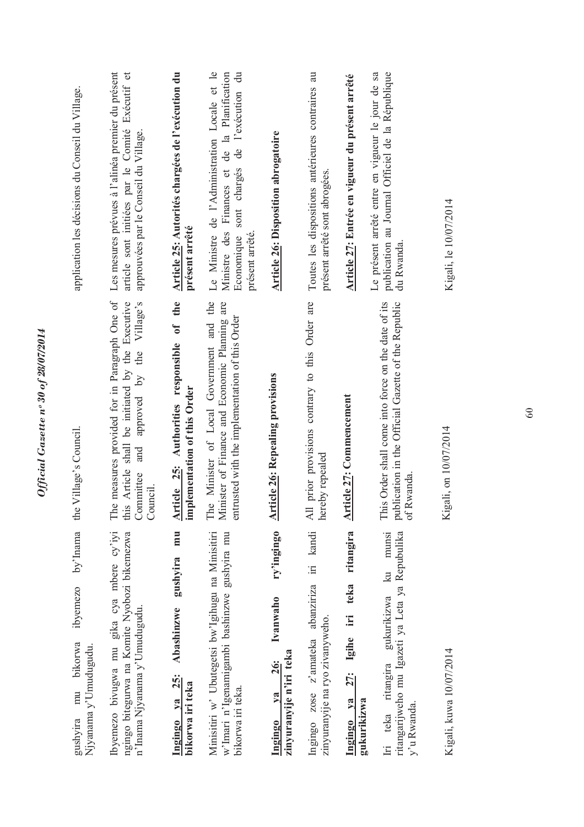| application les décisions du Conseil du Village.                           | Les mesures prévues à l'alinéa premier du présent<br>$\sigma$<br>article sont initiées par le Comité Exécutif<br>approuvées par le Conseil du Village.               | Article 25: Autorités chargées de l'exécution du<br>présent arrêté            | Le Ministre de l'Administration Locale et le<br>Economique sont chargés de l'exécution du<br>Ministre des Finances et de la Planification<br>présent arrêté. | <b>Article 26: Disposition abrogatoire</b>                                       | Toutes les dispositions antérieures contraires au<br>présent arrêté sont abrogées. | Article 27: Entrée en vigueur du présent arrêté                              | Le présent arrêté entre en vigueur le jour de sa<br>publication au Journal Officiel de la République<br>du Rwanda.      | Kigali, le 10/07/2014   |
|----------------------------------------------------------------------------|----------------------------------------------------------------------------------------------------------------------------------------------------------------------|-------------------------------------------------------------------------------|--------------------------------------------------------------------------------------------------------------------------------------------------------------|----------------------------------------------------------------------------------|------------------------------------------------------------------------------------|------------------------------------------------------------------------------|-------------------------------------------------------------------------------------------------------------------------|-------------------------|
| the Village's Council.                                                     | measures provided for in Paragraph One of<br>Article shall be initiated by the Executive<br>approved by the Village's<br>and<br>Committee<br>Council.<br>The<br>this | the<br>Article 25: Authorities responsible of<br>implementation of this Order | Minister of Local Government and the<br>Minister of Finance and Economic Planning are<br>entrusted with the implementation of this Order<br>The              | <b>Article 26: Repealing provisions</b>                                          | prior provisions contrary to this Order are<br>hereby repealed<br>$\overline{AB}$  | <b>Article 27: Commencement</b>                                              | This Order shall come into force on the date of its<br>publication in the Official Gazette of the Republic<br>of Rwanda | Kigali, on 10/07/2014   |
| by'Inama<br>ibyemezo<br>bikorwa<br>Njyanama y'Umudugudu.<br>mu<br>gushyira | Ibyemezo bivugwa mu gika cya mbere cy'iyi<br>ngingo bitegurwa na Komite Nyobozi bikemezwa<br>n'Inama Njyanama y'Umudugudu.                                           | mu<br>gushyira<br>Abashinzwe<br>$ya$ $25:$<br>bikorwa iri teka<br>Ingingo     | Minisitiri w' Ubutegetsi bw'Igihugu na Minisitiri<br>w'lmari n'Igenamigambi bashinzwe gushyira mu<br>bikorwa iri teka.                                       | ry'ingingo<br>Ivanwaho<br>zinyuranyije n'iri teka<br><b>26:</b><br>va<br>Ingingo | Ingingo zose z'amateka abanziriza iri kandi<br>zinyuranyije na ryo zivanyweho.     | ritangira<br>teka<br>$\ddot{=}$<br>Igihe<br>27:<br>Ingingo ya<br>gukurikizwa | munsi<br>ritangarijweho mu Igazeti ya Leta ya Repubulika<br>$k$ u<br>gukurikizwa<br>Iri teka ritangira<br>y'u Rwanda.   | Kigali, kuwa 10/07/2014 |